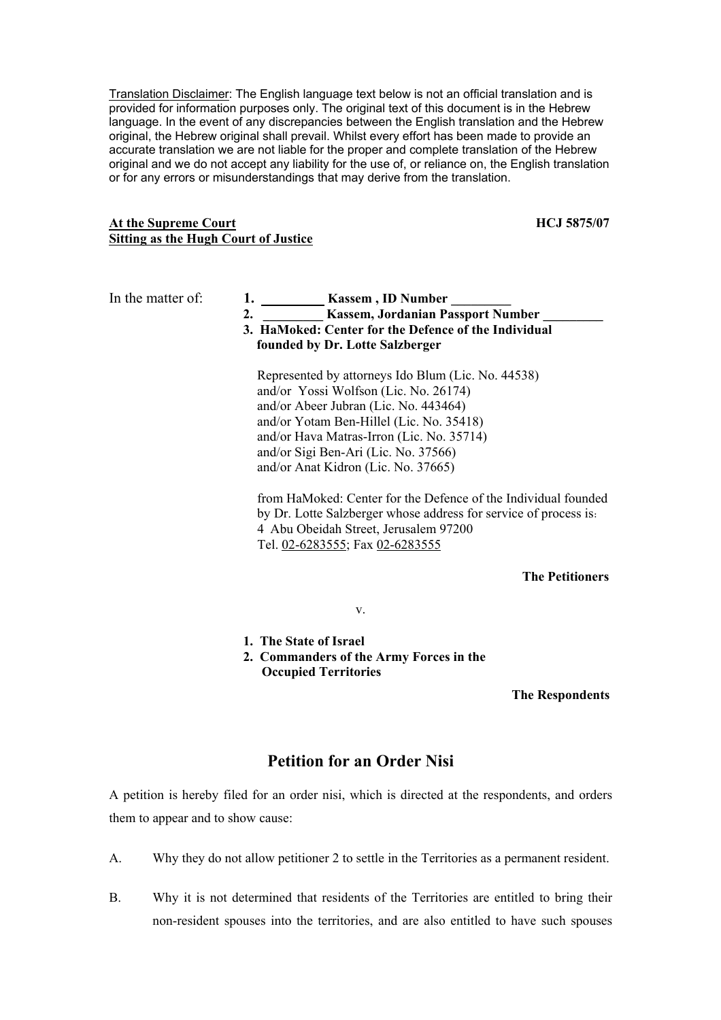Translation Disclaimer: The English language text below is not an official translation and is provided for information purposes only. The original text of this document is in the Hebrew language. In the event of any discrepancies between the English translation and the Hebrew original, the Hebrew original shall prevail. Whilst every effort has been made to provide an accurate translation we are not liable for the proper and complete translation of the Hebrew original and we do not accept any liability for the use of, or reliance on, the English translation or for any errors or misunderstandings that may derive from the translation.

## At the Supreme Court **HCJ** 5875/07 **Sitting as the Hugh Court of Justice**

- In the matter of: **1.** \_\_\_\_\_\_\_\_\_\_\_ **Kassem**, **ID** Number
	- **2. \_\_\_\_\_\_\_\_\_ Kassem, Jordanian Passport Number \_\_\_\_\_\_\_\_\_**
	- **3. HaMoked: Center for the Defence of the Individual founded by Dr. Lotte Salzberger**

Represented by attorneys Ido Blum (Lic. No. 44538) and/or Yossi Wolfson (Lic. No. 26174) and/or Abeer Jubran (Lic. No. 443464) and/or Yotam Ben-Hillel (Lic. No. 35418) and/or Hava Matras-Irron (Lic. No. 35714) and/or Sigi Ben-Ari (Lic. No. 37566) and/or Anat Kidron (Lic. No. 37665)

from HaMoked: Center for the Defence of the Individual founded by Dr. Lotte Salzberger whose address for service of process is: 4 Abu Obeidah Street, Jerusalem 97200 Tel. 02-6283555; Fax 02-6283555

# **The Petitioners**

v.

- **1. The State of Israel**
- **2. Commanders of the Army Forces in the Occupied Territories**

**The Respondents** 

# **Petition for an Order Nisi**

A petition is hereby filed for an order nisi, which is directed at the respondents, and orders them to appear and to show cause:

- A. Why they do not allow petitioner 2 to settle in the Territories as a permanent resident.
- B. Why it is not determined that residents of the Territories are entitled to bring their non-resident spouses into the territories, and are also entitled to have such spouses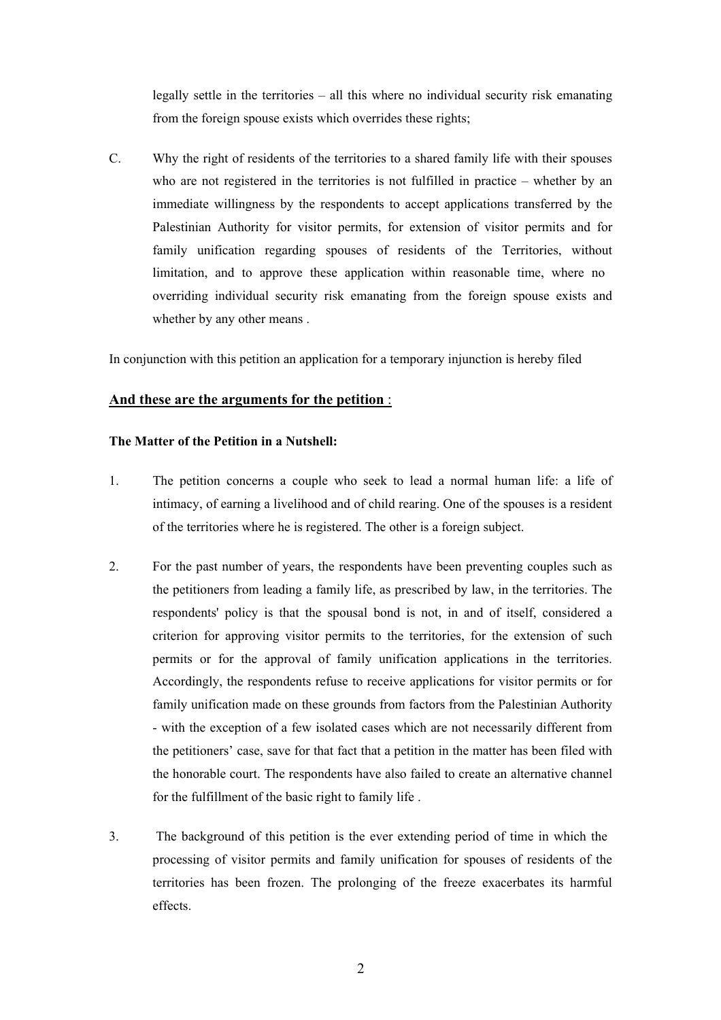legally settle in the territories – all this where no individual security risk emanating from the foreign spouse exists which overrides these rights;

C. Why the right of residents of the territories to a shared family life with their spouses who are not registered in the territories is not fulfilled in practice – whether by an immediate willingness by the respondents to accept applications transferred by the Palestinian Authority for visitor permits, for extension of visitor permits and for family unification regarding spouses of residents of the Territories, without limitation, and to approve these application within reasonable time, where no overriding individual security risk emanating from the foreign spouse exists and whether by any other means .

In conjunction with this petition an application for a temporary injunction is hereby filed

# **And these are the arguments for the petition** :

## **The Matter of the Petition in a Nutshell:**

- 1. The petition concerns a couple who seek to lead a normal human life: a life of intimacy, of earning a livelihood and of child rearing. One of the spouses is a resident of the territories where he is registered. The other is a foreign subject.
- 2. For the past number of years, the respondents have been preventing couples such as the petitioners from leading a family life, as prescribed by law, in the territories. The respondents' policy is that the spousal bond is not, in and of itself, considered a criterion for approving visitor permits to the territories, for the extension of such permits or for the approval of family unification applications in the territories. Accordingly, the respondents refuse to receive applications for visitor permits or for family unification made on these grounds from factors from the Palestinian Authority - with the exception of a few isolated cases which are not necessarily different from the petitioners' case, save for that fact that a petition in the matter has been filed with the honorable court. The respondents have also failed to create an alternative channel for the fulfillment of the basic right to family life .
- 3. The background of this petition is the ever extending period of time in which the processing of visitor permits and family unification for spouses of residents of the territories has been frozen. The prolonging of the freeze exacerbates its harmful effects.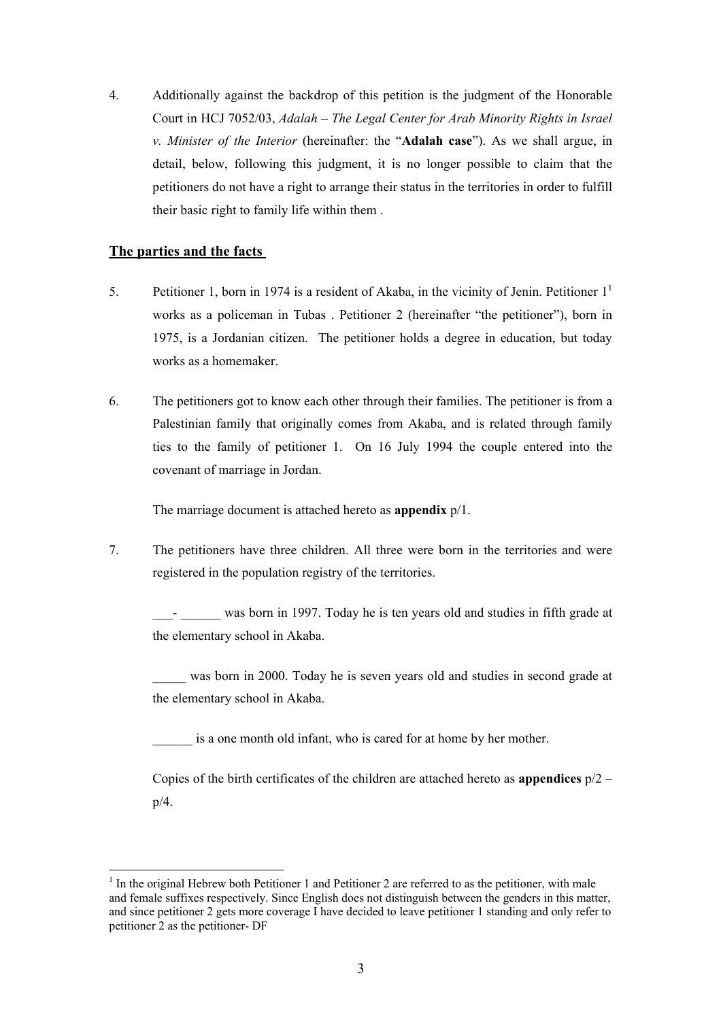4. Additionally against the backdrop of this petition is the judgment of the Honorable Court in HCJ 7052/03, *Adalah The Legal Center for Arab Minority Rights in Israel – v. Minister of the Interior* (hereinafter: the "**Adalah case**"). As we shall argue, in detail, below, following this judgment, it is no longer possible to claim that the petitioners do not have a right to arrange their status in the territories in order to fulfill their basic right to family life within them .

# **The parties and the facts**

 $\overline{a}$ 

- 5. Petitioner 1, born in 1974 is a resident of Akaba, in the vicinity of Jenin. Petitioner  $1<sup>1</sup>$ works as a policeman in Tubas . Petitioner 2 (hereinafter "the petitioner"), born in 1975, is a Jordanian citizen. The petitioner holds a degree in education, but today works as a homemaker.
- 6. The petitioners got to know each other through their families. The petitioner is from a Palestinian family that originally comes from Akaba, and is related through family ties to the family of petitioner 1. On 16 July 1994 the couple entered into the covenant of marriage in Jordan.

The marriage document is attached hereto as **appendix** p/1.

7. The petitioners have three children. All three were born in the territories and were registered in the population registry of the territories.

\_\_\_- \_\_\_\_\_\_ was born in 1997. Today he is ten years old and studies in fifth grade at the elementary school in Akaba.

\_\_\_\_\_ was born in 2000. Today he is seven years old and studies in second grade at the elementary school in Akaba.

is a one month old infant, who is cared for at home by her mother.

Copies of the birth certificates of the children are attached hereto as **appendices** p/2 – p/4.

 $<sup>1</sup>$  In the original Hebrew both Petitioner 1 and Petitioner 2 are referred to as the petitioner, with male</sup> and female suffixes respectively. Since English does not distinguish between the genders in this matter, and since petitioner 2 gets more coverage I have decided to leave petitioner 1 standing and only refer to petitioner 2 as the petitioner- DF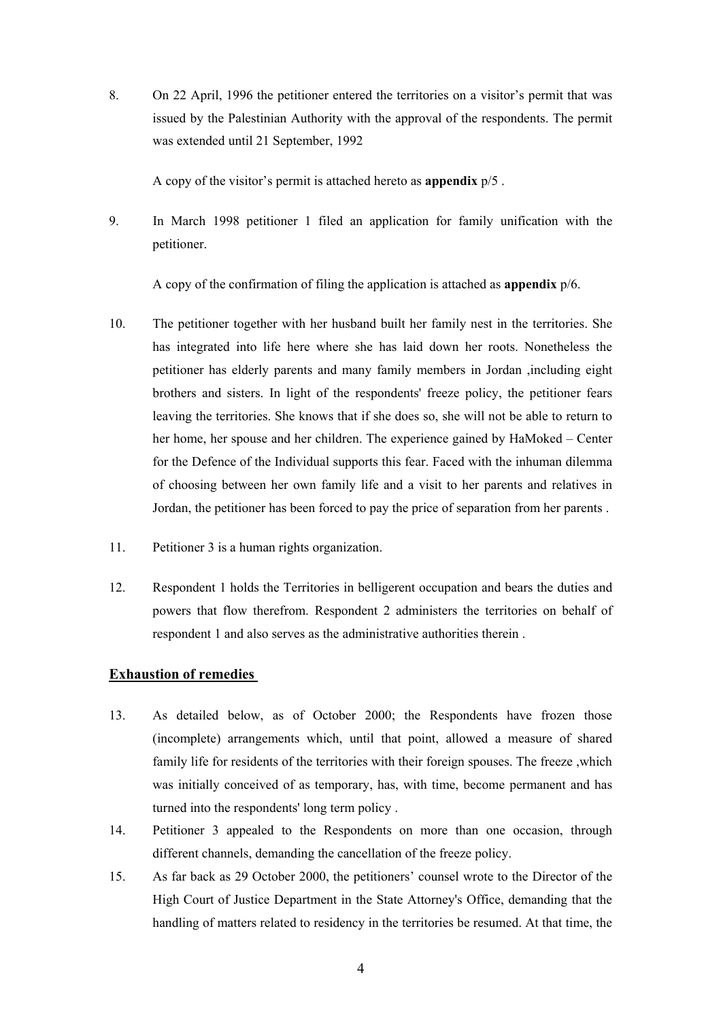8. On 22 April, 1996 the petitioner entered the territories on a visitor's permit that was issued by the Palestinian Authority with the approval of the respondents. The permit was extended until 21 September, 1992

A copy of the visitor's permit is attached hereto as **appendix** p/5 .

9. In March 1998 petitioner 1 filed an application for family unification with the petitioner.

A copy of the confirmation of filing the application is attached as **appendix** p/6.

- 10. The petitioner together with her husband built her family nest in the territories. She has integrated into life here where she has laid down her roots. Nonetheless the petitioner has elderly parents and many family members in Jordan ,including eight brothers and sisters. In light of the respondents' freeze policy, the petitioner fears leaving the territories. She knows that if she does so, she will not be able to return to her home, her spouse and her children. The experience gained by HaMoked – Center for the Defence of the Individual supports this fear. Faced with the inhuman dilemma of choosing between her own family life and a visit to her parents and relatives in Jordan, the petitioner has been forced to pay the price of separation from her parents .
- 11. Petitioner 3 is a human rights organization.
- 12. Respondent 1 holds the Territories in belligerent occupation and bears the duties and powers that flow therefrom. Respondent 2 administers the territories on behalf of respondent 1 and also serves as the administrative authorities therein .

## **Exhaustion of remedies**

- 13. As detailed below, as of October 2000; the Respondents have frozen those (incomplete) arrangements which, until that point, allowed a measure of shared family life for residents of the territories with their foreign spouses. The freeze ,which was initially conceived of as temporary, has, with time, become permanent and has turned into the respondents' long term policy .
- 14. Petitioner 3 appealed to the Respondents on more than one occasion, through different channels, demanding the cancellation of the freeze policy.
- 15. As far back as 29 October 2000, the petitioners' counsel wrote to the Director of the High Court of Justice Department in the State Attorney's Office, demanding that the handling of matters related to residency in the territories be resumed. At that time, the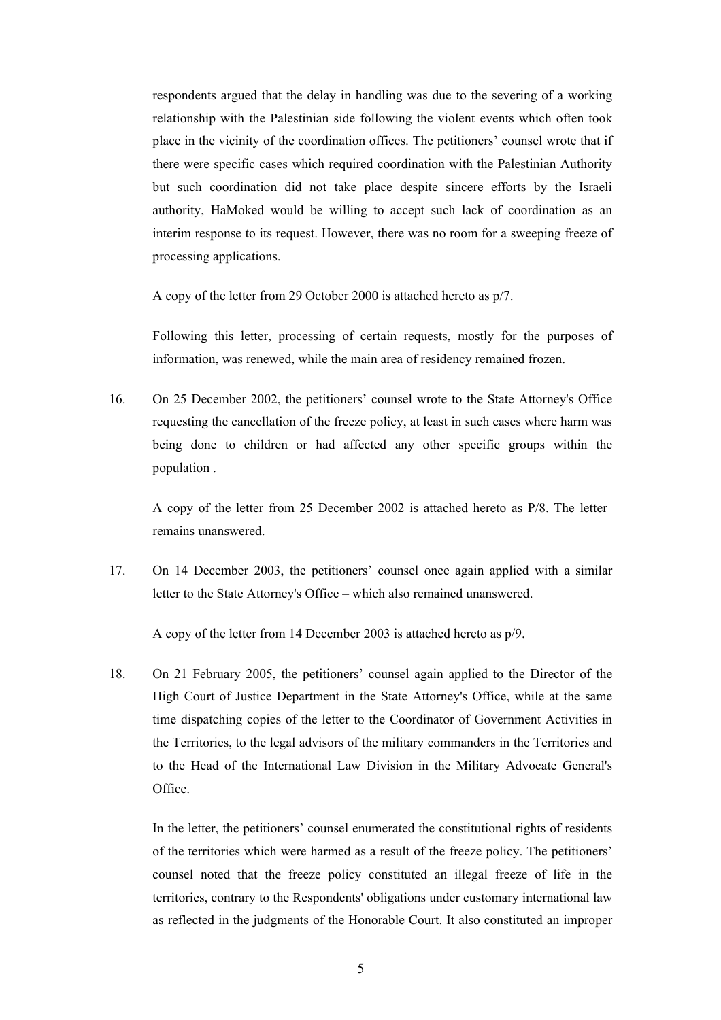respondents argued that the delay in handling was due to the severing of a working relationship with the Palestinian side following the violent events which often took place in the vicinity of the coordination offices. The petitioners' counsel wrote that if there were specific cases which required coordination with the Palestinian Authority but such coordination did not take place despite sincere efforts by the Israeli authority, HaMoked would be willing to accept such lack of coordination as an interim response to its request. However, there was no room for a sweeping freeze of processing applications.

A copy of the letter from 29 October 2000 is attached hereto as p/7.

Following this letter, processing of certain requests, mostly for the purposes of information, was renewed, while the main area of residency remained frozen.

16. On 25 December 2002, the petitioners' counsel wrote to the State Attorney's Office requesting the cancellation of the freeze policy, at least in such cases where harm was being done to children or had affected any other specific groups within the population .

A copy of the letter from 25 December 2002 is attached hereto as P/8. The letter remains unanswered.

17. On 14 December 2003, the petitioners' counsel once again applied with a similar letter to the State Attorney's Office – which also remained unanswered.

A copy of the letter from 14 December 2003 is attached hereto as p/9.

18. On 21 February 2005, the petitioners' counsel again applied to the Director of the High Court of Justice Department in the State Attorney's Office, while at the same time dispatching copies of the letter to the Coordinator of Government Activities in the Territories, to the legal advisors of the military commanders in the Territories and to the Head of the International Law Division in the Military Advocate General's Office.

In the letter, the petitioners' counsel enumerated the constitutional rights of residents of the territories which were harmed as a result of the freeze policy. The petitioners' counsel noted that the freeze policy constituted an illegal freeze of life in the territories, contrary to the Respondents' obligations under customary international law as reflected in the judgments of the Honorable Court. It also constituted an improper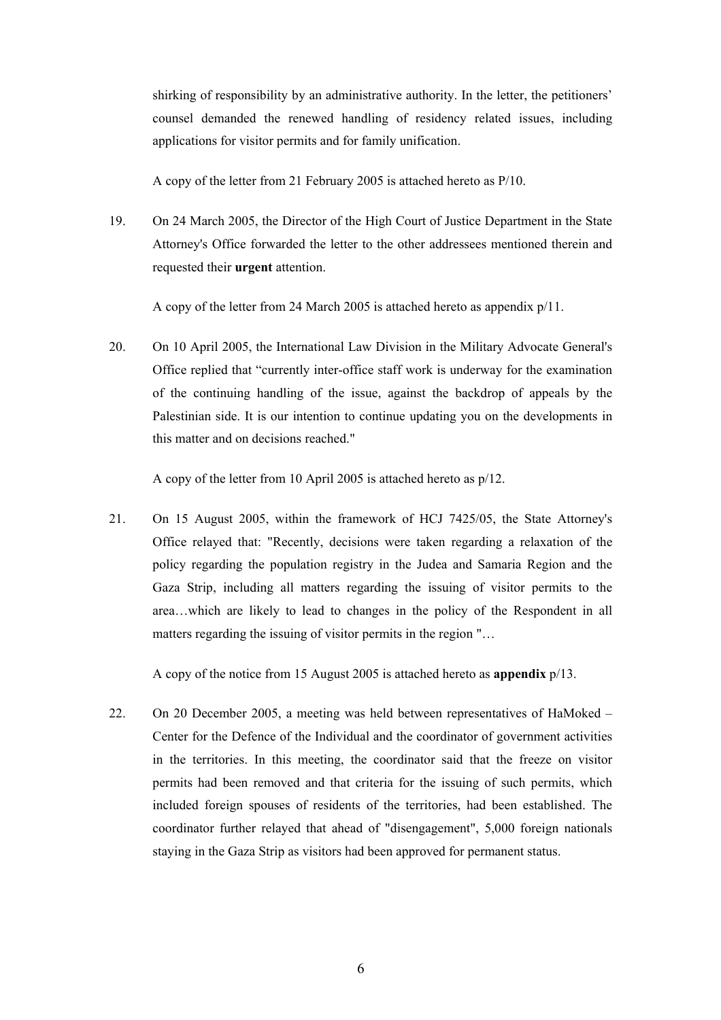shirking of responsibility by an administrative authority. In the letter, the petitioners' counsel demanded the renewed handling of residency related issues, including applications for visitor permits and for family unification.

A copy of the letter from 21 February 2005 is attached hereto as P/10.

19. On 24 March 2005, the Director of the High Court of Justice Department in the State Attorney's Office forwarded the letter to the other addressees mentioned therein and requested their **urgent** attention.

A copy of the letter from 24 March 2005 is attached hereto as appendix p/11.

20. On 10 April 2005, the International Law Division in the Military Advocate General's Office replied that "currently inter-office staff work is underway for the examination of the continuing handling of the issue, against the backdrop of appeals by the Palestinian side. It is our intention to continue updating you on the developments in this matter and on decisions reached."

A copy of the letter from 10 April 2005 is attached hereto as p/12.

21. On 15 August 2005, within the framework of HCJ 7425/05, the State Attorney's Office relayed that: "Recently, decisions were taken regarding a relaxation of the policy regarding the population registry in the Judea and Samaria Region and the Gaza Strip, including all matters regarding the issuing of visitor permits to the area…which are likely to lead to changes in the policy of the Respondent in all matters regarding the issuing of visitor permits in the region "…

A copy of the notice from 15 August 2005 is attached hereto as **appendix** p/13.

22. On 20 December 2005, a meeting was held between representatives of HaMoked – Center for the Defence of the Individual and the coordinator of government activities in the territories. In this meeting, the coordinator said that the freeze on visitor permits had been removed and that criteria for the issuing of such permits, which included foreign spouses of residents of the territories, had been established. The coordinator further relayed that ahead of "disengagement", 5,000 foreign nationals staying in the Gaza Strip as visitors had been approved for permanent status.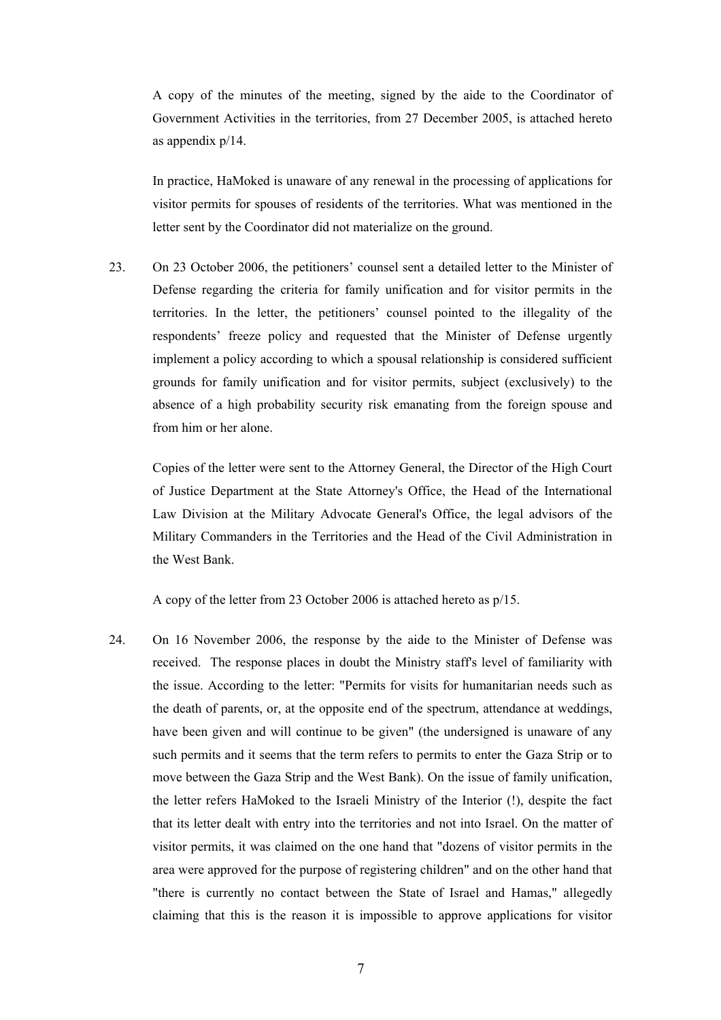A copy of the minutes of the meeting, signed by the aide to the Coordinator of Government Activities in the territories, from 27 December 2005, is attached hereto as appendix p/14.

In practice, HaMoked is unaware of any renewal in the processing of applications for visitor permits for spouses of residents of the territories. What was mentioned in the letter sent by the Coordinator did not materialize on the ground.

23. On 23 October 2006, the petitioners' counsel sent a detailed letter to the Minister of Defense regarding the criteria for family unification and for visitor permits in the territories. In the letter, the petitioners' counsel pointed to the illegality of the respondents' freeze policy and requested that the Minister of Defense urgently implement a policy according to which a spousal relationship is considered sufficient grounds for family unification and for visitor permits, subject (exclusively) to the absence of a high probability security risk emanating from the foreign spouse and from him or her alone.

Copies of the letter were sent to the Attorney General, the Director of the High Court of Justice Department at the State Attorney's Office, the Head of the International Law Division at the Military Advocate General's Office, the legal advisors of the Military Commanders in the Territories and the Head of the Civil Administration in the West Bank.

A copy of the letter from 23 October 2006 is attached hereto as p/15.

24. On 16 November 2006, the response by the aide to the Minister of Defense was received. The response places in doubt the Ministry staff's level of familiarity with the issue. According to the letter: "Permits for visits for humanitarian needs such as the death of parents, or, at the opposite end of the spectrum, attendance at weddings, have been given and will continue to be given" (the undersigned is unaware of any such permits and it seems that the term refers to permits to enter the Gaza Strip or to move between the Gaza Strip and the West Bank). On the issue of family unification, the letter refers HaMoked to the Israeli Ministry of the Interior (!), despite the fact that its letter dealt with entry into the territories and not into Israel. On the matter of visitor permits, it was claimed on the one hand that "dozens of visitor permits in the area were approved for the purpose of registering children" and on the other hand that "there is currently no contact between the State of Israel and Hamas," allegedly claiming that this is the reason it is impossible to approve applications for visitor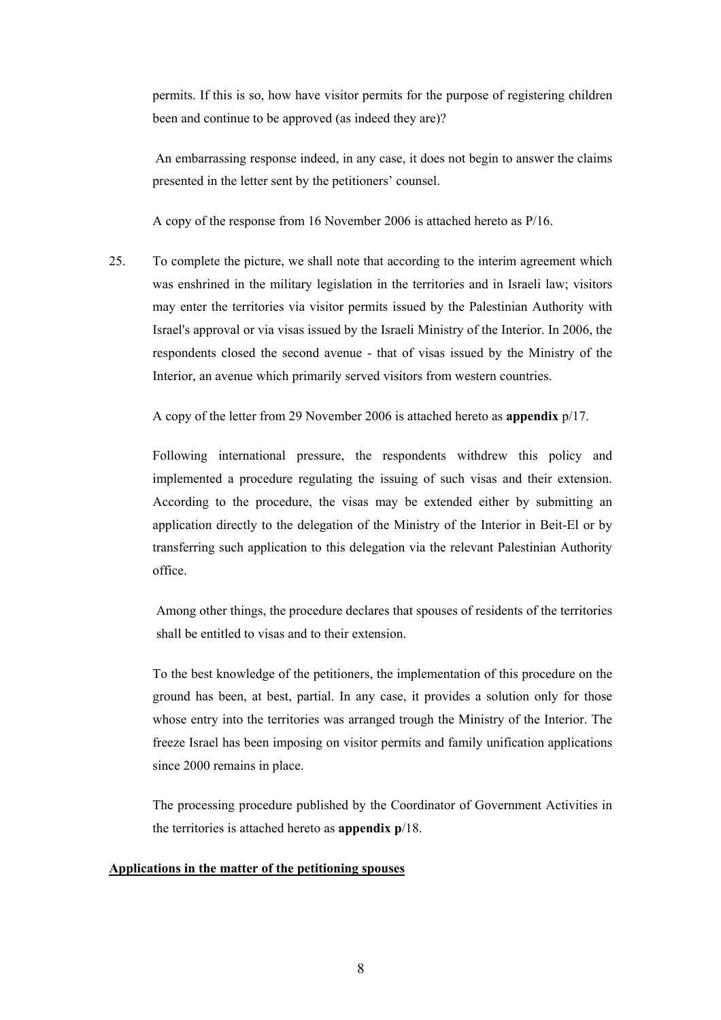permits. If this is so, how have visitor permits for the purpose of registering children been and continue to be approved (as indeed they are)?

An embarrassing response indeed, in any case, it does not begin to answer the claims presented in the letter sent by the petitioners' counsel.

A copy of the response from 16 November 2006 is attached hereto as P/16.

25. To complete the picture, we shall note that according to the interim agreement which was enshrined in the military legislation in the territories and in Israeli law; visitors may enter the territories via visitor permits issued by the Palestinian Authority with Israel's approval or via visas issued by the Israeli Ministry of the Interior. In 2006, the respondents closed the second avenue - that of visas issued by the Ministry of the Interior, an avenue which primarily served visitors from western countries.

A copy of the letter from 29 November 2006 is attached hereto as **appendix** p/17.

Following international pressure, the respondents withdrew this policy and implemented a procedure regulating the issuing of such visas and their extension. According to the procedure, the visas may be extended either by submitting an application directly to the delegation of the Ministry of the Interior in Beit-El or by transferring such application to this delegation via the relevant Palestinian Authority office.

Among other things, the procedure declares that spouses of residents of the territories shall be entitled to visas and to their extension.

To the best knowledge of the petitioners, the implementation of this procedure on the ground has been, at best, partial. In any case, it provides a solution only for those whose entry into the territories was arranged trough the Ministry of the Interior. The freeze Israel has been imposing on visitor permits and family unification applications since 2000 remains in place.

The processing procedure published by the Coordinator of Government Activities in the territories is attached hereto as **appendix p**/18.

# **Applications in the matter of the petitioning spouses**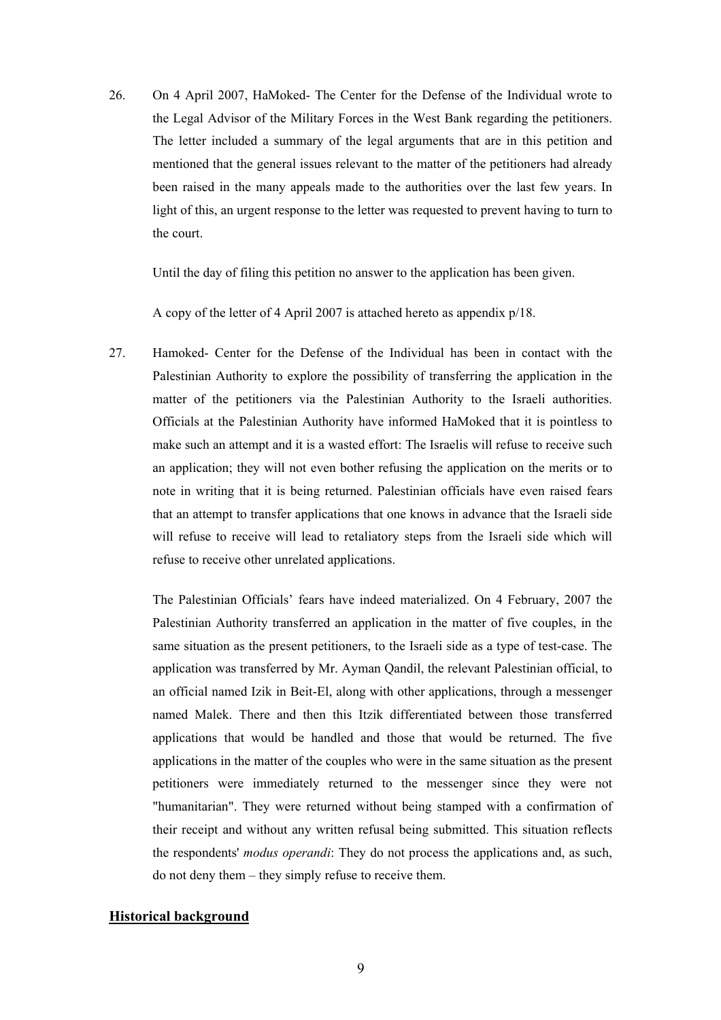26. On 4 April 2007, HaMoked- The Center for the Defense of the Individual wrote to the Legal Advisor of the Military Forces in the West Bank regarding the petitioners. The letter included a summary of the legal arguments that are in this petition and mentioned that the general issues relevant to the matter of the petitioners had already been raised in the many appeals made to the authorities over the last few years. In light of this, an urgent response to the letter was requested to prevent having to turn to the court.

Until the day of filing this petition no answer to the application has been given.

A copy of the letter of 4 April 2007 is attached hereto as appendix p/18.

27. Hamoked- Center for the Defense of the Individual has been in contact with the Palestinian Authority to explore the possibility of transferring the application in the matter of the petitioners via the Palestinian Authority to the Israeli authorities. Officials at the Palestinian Authority have informed HaMoked that it is pointless to make such an attempt and it is a wasted effort: The Israelis will refuse to receive such an application; they will not even bother refusing the application on the merits or to note in writing that it is being returned. Palestinian officials have even raised fears that an attempt to transfer applications that one knows in advance that the Israeli side will refuse to receive will lead to retaliatory steps from the Israeli side which will refuse to receive other unrelated applications.

The Palestinian Officials' fears have indeed materialized. On 4 February, 2007 the Palestinian Authority transferred an application in the matter of five couples, in the same situation as the present petitioners, to the Israeli side as a type of test-case. The application was transferred by Mr. Ayman Qandil, the relevant Palestinian official, to an official named Izik in Beit-El, along with other applications, through a messenger named Malek. There and then this Itzik differentiated between those transferred applications that would be handled and those that would be returned. The five applications in the matter of the couples who were in the same situation as the present petitioners were immediately returned to the messenger since they were not "humanitarian". They were returned without being stamped with a confirmation of their receipt and without any written refusal being submitted. This situation reflects the respondents' *modus operandi*: They do not process the applications and, as such, do not deny them – they simply refuse to receive them.

#### **Historical background**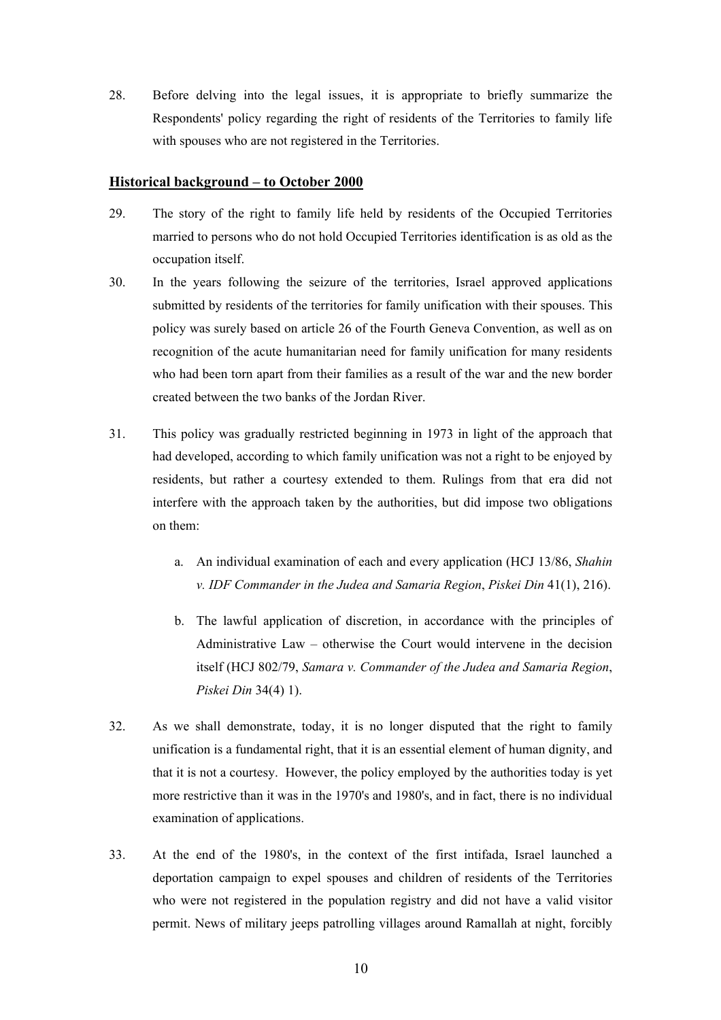28. Before delving into the legal issues, it is appropriate to briefly summarize the Respondents' policy regarding the right of residents of the Territories to family life with spouses who are not registered in the Territories.

# **Historical background – to October 2000**

- 29. The story of the right to family life held by residents of the Occupied Territories married to persons who do not hold Occupied Territories identification is as old as the occupation itself.
- 30. In the years following the seizure of the territories, Israel approved applications submitted by residents of the territories for family unification with their spouses. This policy was surely based on article 26 of the Fourth Geneva Convention, as well as on recognition of the acute humanitarian need for family unification for many residents who had been torn apart from their families as a result of the war and the new border created between the two banks of the Jordan River.
- 31. This policy was gradually restricted beginning in 1973 in light of the approach that had developed, according to which family unification was not a right to be enjoyed by residents, but rather a courtesy extended to them. Rulings from that era did not interfere with the approach taken by the authorities, but did impose two obligations on them:
	- a. An individual examination of each and every application (HCJ 13/86, *Shahin v. IDF Commander in the Judea and Samaria Region*, *Piskei Din* 41(1), 216).
	- b. The lawful application of discretion, in accordance with the principles of Administrative Law – otherwise the Court would intervene in the decision itself (HCJ 802/79, *Samara v. Commander of the Judea and Samaria Region*, *Piskei Din* 34(4) 1).
- 32. As we shall demonstrate, today, it is no longer disputed that the right to family unification is a fundamental right, that it is an essential element of human dignity, and that it is not a courtesy. However, the policy employed by the authorities today is yet more restrictive than it was in the 1970's and 1980's, and in fact, there is no individual examination of applications.
- 33. At the end of the 1980's, in the context of the first intifada, Israel launched a deportation campaign to expel spouses and children of residents of the Territories who were not registered in the population registry and did not have a valid visitor permit. News of military jeeps patrolling villages around Ramallah at night, forcibly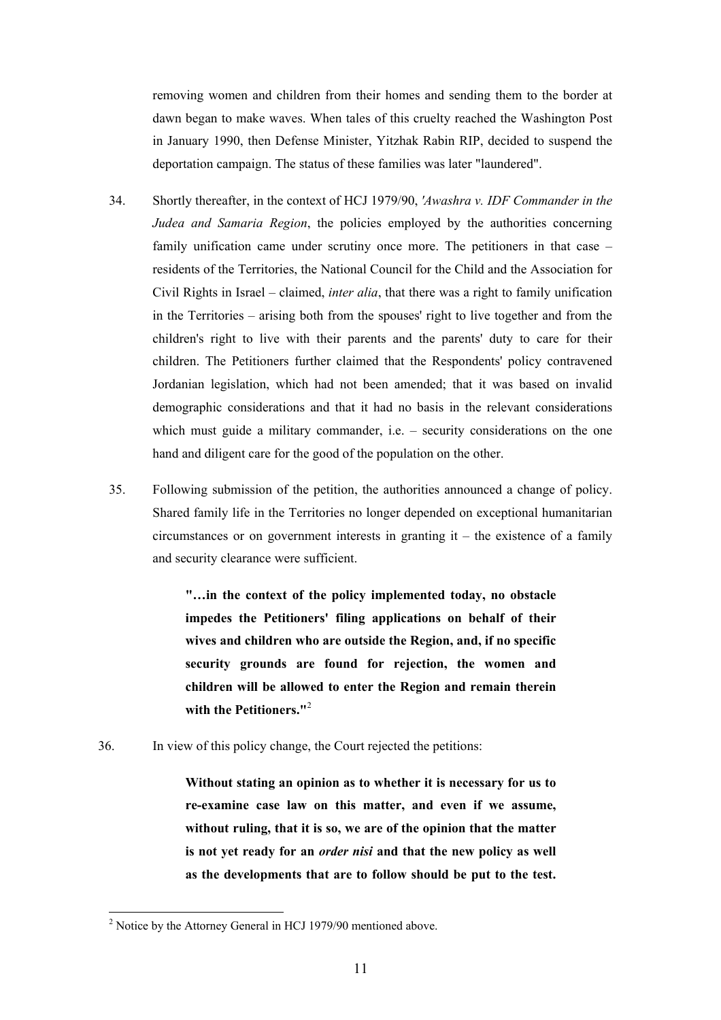removing women and children from their homes and sending them to the border at dawn began to make waves. When tales of this cruelty reached the Washington Post in January 1990, then Defense Minister, Yitzhak Rabin RIP, decided to suspend the deportation campaign. The status of these families was later "laundered".

- 34. Shortly thereafter, in the context of HCJ 1979/90, *'Awashra v. IDF Commander in the Judea and Samaria Region*, the policies employed by the authorities concerning family unification came under scrutiny once more. The petitioners in that case – residents of the Territories, the National Council for the Child and the Association for Civil Rights in Israel – claimed, *inter alia*, that there was a right to family unification in the Territories – arising both from the spouses' right to live together and from the children's right to live with their parents and the parents' duty to care for their children. The Petitioners further claimed that the Respondents' policy contravened Jordanian legislation, which had not been amended; that it was based on invalid demographic considerations and that it had no basis in the relevant considerations which must guide a military commander, i.e. – security considerations on the one hand and diligent care for the good of the population on the other.
- 35. Following submission of the petition, the authorities announced a change of policy. Shared family life in the Territories no longer depended on exceptional humanitarian circumstances or on government interests in granting  $it -$  the existence of a family and security clearance were sufficient.

 **"…in the context of the policy implemented today, no obstacle impedes the Petitioners' filing applications on behalf of their wives and children who are outside the Region, and, if no specific security grounds are found for rejection, the women and children will be allowed to enter the Region and remain therein with the Petitioners."**<sup>2</sup> 

36. In view of this policy change, the Court rejected the petitions:

 **Without stating an opinion as to whether it is necessary for us to re-examine case law on this matter, and even if we assume, without ruling, that it is so, we are of the opinion that the matter is not yet ready for an** *order nisi* **and that the new policy as well as the developments that are to follow should be put to the test.**

 $\overline{a}$ 

<sup>&</sup>lt;sup>2</sup> Notice by the Attorney General in HCJ 1979/90 mentioned above.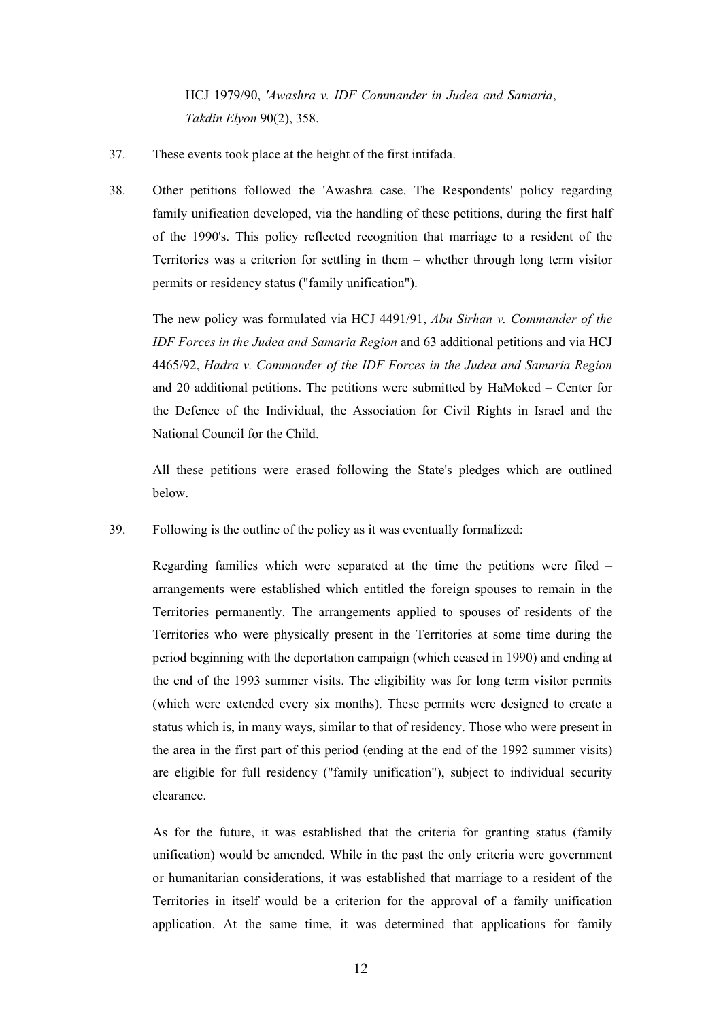HCJ 1979/90, *'Awashra v. IDF Commander in Judea and Samaria*, *Takdin Elyon* 90(2), 358.

- 37. These events took place at the height of the first intifada.
- 38. Other petitions followed the 'Awashra case. The Respondents' policy regarding family unification developed, via the handling of these petitions, during the first half of the 1990's. This policy reflected recognition that marriage to a resident of the Territories was a criterion for settling in them – whether through long term visitor permits or residency status ("family unification").

 The new policy was formulated via HCJ 4491/91, *Abu Sirhan v. Commander of the IDF Forces in the Judea and Samaria Region* and 63 additional petitions and via HCJ 4465/92, *Hadra v. Commander of the IDF Forces in the Judea and Samaria Region* and 20 additional petitions. The petitions were submitted by HaMoked – Center for the Defence of the Individual, the Association for Civil Rights in Israel and the National Council for the Child.

 All these petitions were erased following the State's pledges which are outlined below.

39. Following is the outline of the policy as it was eventually formalized:

 Regarding families which were separated at the time the petitions were filed – arrangements were established which entitled the foreign spouses to remain in the Territories permanently. The arrangements applied to spouses of residents of the Territories who were physically present in the Territories at some time during the period beginning with the deportation campaign (which ceased in 1990) and ending at the end of the 1993 summer visits. The eligibility was for long term visitor permits (which were extended every six months). These permits were designed to create a status which is, in many ways, similar to that of residency. Those who were present in the area in the first part of this period (ending at the end of the 1992 summer visits) are eligible for full residency ("family unification"), subject to individual security clearance.

 As for the future, it was established that the criteria for granting status (family unification) would be amended. While in the past the only criteria were government or humanitarian considerations, it was established that marriage to a resident of the Territories in itself would be a criterion for the approval of a family unification application. At the same time, it was determined that applications for family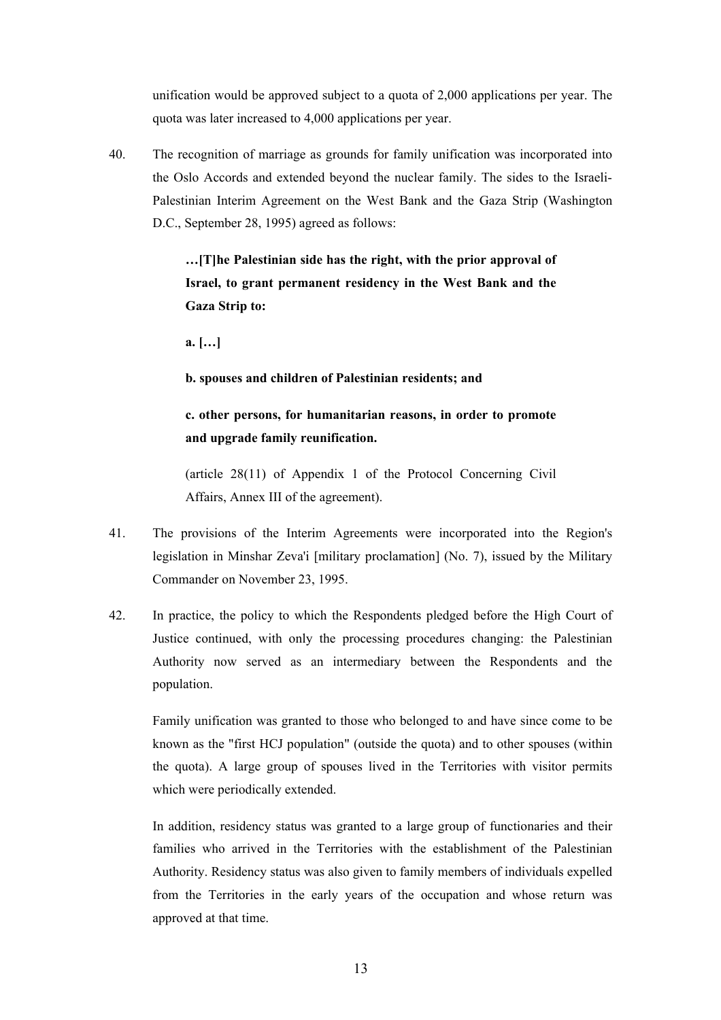unification would be approved subject to a quota of 2,000 applications per year. The quota was later increased to 4,000 applications per year.

40. The recognition of marriage as grounds for family unification was incorporated into the Oslo Accords and extended beyond the nuclear family. The sides to the Israeli-Palestinian Interim Agreement on the West Bank and the Gaza Strip (Washington D.C., September 28, 1995) agreed as follows:

> **…[T]he Palestinian side has the right, with the prior approval of Israel, to grant permanent residency in the West Bank and the Gaza Strip to:**

 **a. […]** 

 **b. spouses and children of Palestinian residents; and** 

# **c. other persons, for humanitarian reasons, in order to promote and upgrade family reunification.**

 (article 28(11) of Appendix 1 of the Protocol Concerning Civil Affairs, Annex III of the agreement).

- 41. The provisions of the Interim Agreements were incorporated into the Region's legislation in Minshar Zeva'i [military proclamation] (No. 7), issued by the Military Commander on November 23, 1995.
- 42. In practice, the policy to which the Respondents pledged before the High Court of Justice continued, with only the processing procedures changing: the Palestinian Authority now served as an intermediary between the Respondents and the population.

 Family unification was granted to those who belonged to and have since come to be known as the "first HCJ population" (outside the quota) and to other spouses (within the quota). A large group of spouses lived in the Territories with visitor permits which were periodically extended.

 In addition, residency status was granted to a large group of functionaries and their families who arrived in the Territories with the establishment of the Palestinian Authority. Residency status was also given to family members of individuals expelled from the Territories in the early years of the occupation and whose return was approved at that time.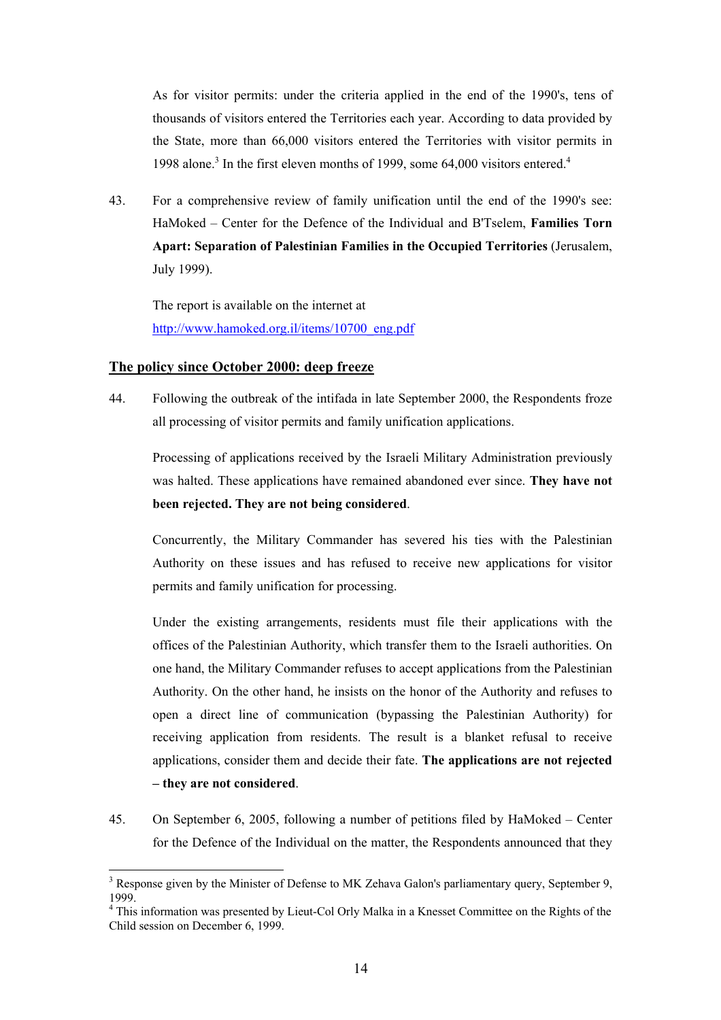As for visitor permits: under the criteria applied in the end of the 1990's, tens of thousands of visitors entered the Territories each year. According to data provided by the State, more than 66,000 visitors entered the Territories with visitor permits in 1998 alone.<sup>3</sup> In the first eleven months of 1999, some 64,000 visitors entered.<sup>4</sup>

43. For a comprehensive review of family unification until the end of the 1990's see: HaMoked – Center for the Defence of the Individual and B'Tselem, **Families Torn Apart: Separation of Palestinian Families in the Occupied Territories** (Jerusalem, July 1999).

 The report is available on the internet at http://www.hamoked.org.il/items/10700\_eng.pdf

# **The policy since October 2000: deep freeze**

 $\overline{a}$ 

44. Following the outbreak of the intifada in late September 2000, the Respondents froze all processing of visitor permits and family unification applications.

 Processing of applications received by the Israeli Military Administration previously was halted. These applications have remained abandoned ever since. **They have not been rejected. They are not being considered**.

 Concurrently, the Military Commander has severed his ties with the Palestinian Authority on these issues and has refused to receive new applications for visitor permits and family unification for processing.

 Under the existing arrangements, residents must file their applications with the offices of the Palestinian Authority, which transfer them to the Israeli authorities. On one hand, the Military Commander refuses to accept applications from the Palestinian Authority. On the other hand, he insists on the honor of the Authority and refuses to open a direct line of communication (bypassing the Palestinian Authority) for receiving application from residents. The result is a blanket refusal to receive applications, consider them and decide their fate. **The applications are not rejected – they are not considered**.

45. On September 6, 2005, following a number of petitions filed by HaMoked – Center for the Defence of the Individual on the matter, the Respondents announced that they

 $3$  Response given by the Minister of Defense to MK Zehava Galon's parliamentary query, September 9, 1999.

<sup>&</sup>lt;sup>4</sup> This information was presented by Lieut-Col Orly Malka in a Knesset Committee on the Rights of the Child session on December 6, 1999.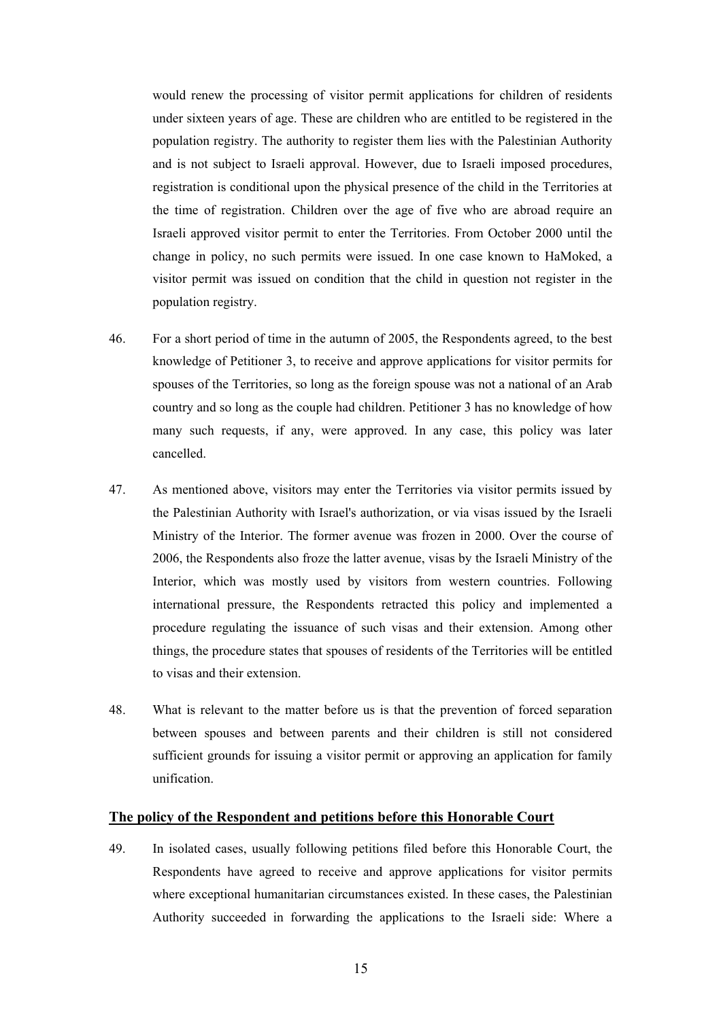would renew the processing of visitor permit applications for children of residents under sixteen years of age. These are children who are entitled to be registered in the population registry. The authority to register them lies with the Palestinian Authority and is not subject to Israeli approval. However, due to Israeli imposed procedures, registration is conditional upon the physical presence of the child in the Territories at the time of registration. Children over the age of five who are abroad require an Israeli approved visitor permit to enter the Territories. From October 2000 until the change in policy, no such permits were issued. In one case known to HaMoked, a visitor permit was issued on condition that the child in question not register in the population registry.

- 46. For a short period of time in the autumn of 2005, the Respondents agreed, to the best knowledge of Petitioner 3, to receive and approve applications for visitor permits for spouses of the Territories, so long as the foreign spouse was not a national of an Arab country and so long as the couple had children. Petitioner 3 has no knowledge of how many such requests, if any, were approved. In any case, this policy was later cancelled.
- 47. As mentioned above, visitors may enter the Territories via visitor permits issued by the Palestinian Authority with Israel's authorization, or via visas issued by the Israeli Ministry of the Interior. The former avenue was frozen in 2000. Over the course of 2006, the Respondents also froze the latter avenue, visas by the Israeli Ministry of the Interior, which was mostly used by visitors from western countries. Following international pressure, the Respondents retracted this policy and implemented a procedure regulating the issuance of such visas and their extension. Among other things, the procedure states that spouses of residents of the Territories will be entitled to visas and their extension.
- 48. What is relevant to the matter before us is that the prevention of forced separation between spouses and between parents and their children is still not considered sufficient grounds for issuing a visitor permit or approving an application for family unification.

#### **The policy of the Respondent and petitions before this Honorable Court**

49. In isolated cases, usually following petitions filed before this Honorable Court, the Respondents have agreed to receive and approve applications for visitor permits where exceptional humanitarian circumstances existed. In these cases, the Palestinian Authority succeeded in forwarding the applications to the Israeli side: Where a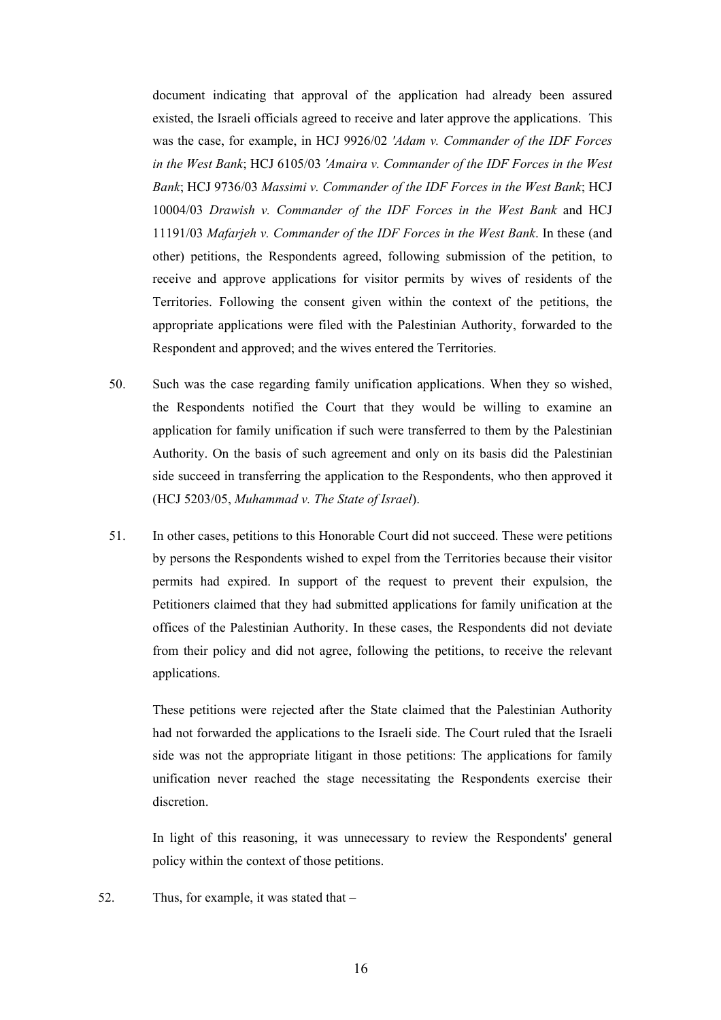document indicating that approval of the application had already been assured existed, the Israeli officials agreed to receive and later approve the applications. This was the case, for example, in HCJ 9926/02 *'Adam v. Commander of the IDF Forces in the West Bank*; HCJ 6105/03 *'Amaira v. Commander of the IDF Forces in the West Bank*; HCJ 9736/03 *Massimi v. Commander of the IDF Forces in the West Bank*; HCJ 10004/03 *Drawish v. Commander of the IDF Forces in the West Bank* and HCJ 11191/03 *Mafarjeh v. Commander of the IDF Forces in the West Bank*. In these (and other) petitions, the Respondents agreed, following submission of the petition, to receive and approve applications for visitor permits by wives of residents of the Territories. Following the consent given within the context of the petitions, the appropriate applications were filed with the Palestinian Authority, forwarded to the Respondent and approved; and the wives entered the Territories.

- 50. Such was the case regarding family unification applications. When they so wished, the Respondents notified the Court that they would be willing to examine an application for family unification if such were transferred to them by the Palestinian Authority. On the basis of such agreement and only on its basis did the Palestinian side succeed in transferring the application to the Respondents, who then approved it (HCJ 5203/05, *Muhammad v. The State of Israel*).
- 51. In other cases, petitions to this Honorable Court did not succeed. These were petitions by persons the Respondents wished to expel from the Territories because their visitor permits had expired. In support of the request to prevent their expulsion, the Petitioners claimed that they had submitted applications for family unification at the offices of the Palestinian Authority. In these cases, the Respondents did not deviate from their policy and did not agree, following the petitions, to receive the relevant applications.

 These petitions were rejected after the State claimed that the Palestinian Authority had not forwarded the applications to the Israeli side. The Court ruled that the Israeli side was not the appropriate litigant in those petitions: The applications for family unification never reached the stage necessitating the Respondents exercise their discretion.

 In light of this reasoning, it was unnecessary to review the Respondents' general policy within the context of those petitions.

52. Thus, for example, it was stated that –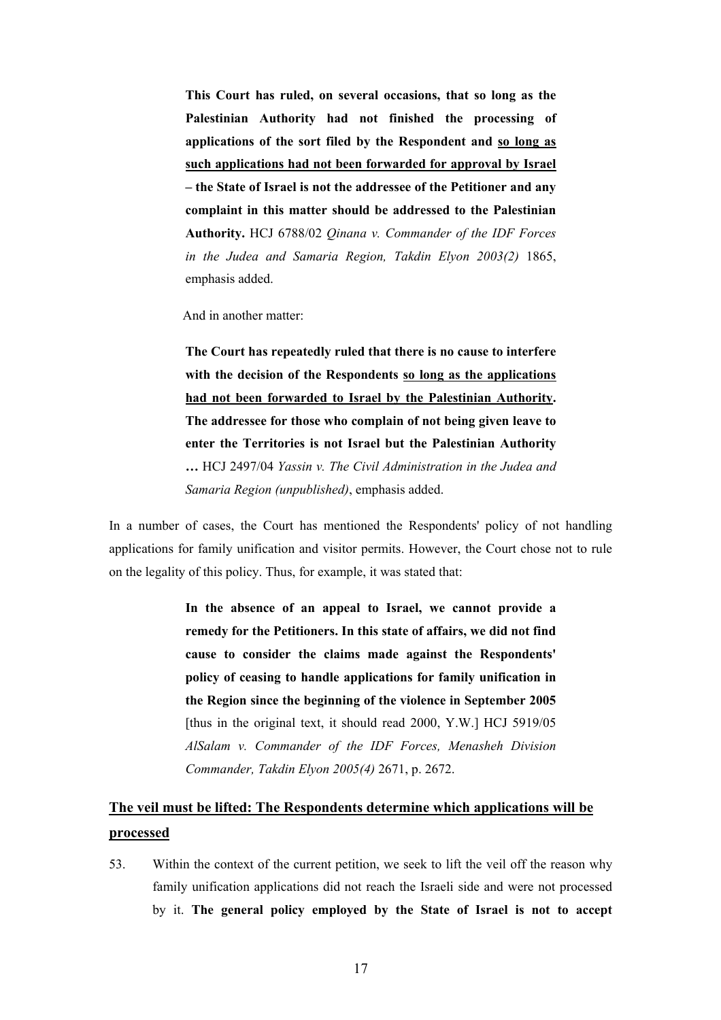**This Court has ruled, on several occasions, that so long as the Palestinian Authority had not finished the processing of applications of the sort filed by the Respondent and so long as such applications had not been forwarded for approval by Israel – the State of Israel is not the addressee of the Petitioner and any complaint in this matter should be addressed to the Palestinian Authority.** HCJ 6788/02 *Qinana v. Commander of the IDF Forces in the Judea and Samaria Region, Takdin Elyon 2003(2)* 1865, emphasis added.

And in another matter:

 **The Court has repeatedly ruled that there is no cause to interfere with the decision of the Respondents so long as the applications had not been forwarded to Israel by the Palestinian Authority. The addressee for those who complain of not being given leave to enter the Territories is not Israel but the Palestinian Authority …** HCJ 2497/04 *Yassin v. The Civil Administration in the Judea and Samaria Region (unpublished)*, emphasis added.

In a number of cases, the Court has mentioned the Respondents' policy of not handling applications for family unification and visitor permits. However, the Court chose not to rule on the legality of this policy. Thus, for example, it was stated that:

> **In the absence of an appeal to Israel, we cannot provide a remedy for the Petitioners. In this state of affairs, we did not find cause to consider the claims made against the Respondents' policy of ceasing to handle applications for family unification in the Region since the beginning of the violence in September 2005**  [thus in the original text, it should read 2000, Y.W.] HCJ 5919/05 *AlSalam v. Commander of the IDF Forces, Menasheh Division Commander, Takdin Elyon 2005(4)* 2671, p. 2672.

# **The veil must be lifted: The Respondents determine which applications will be processed**

53. Within the context of the current petition, we seek to lift the veil off the reason why family unification applications did not reach the Israeli side and were not processed by it. **The general policy employed by the State of Israel is not to accept**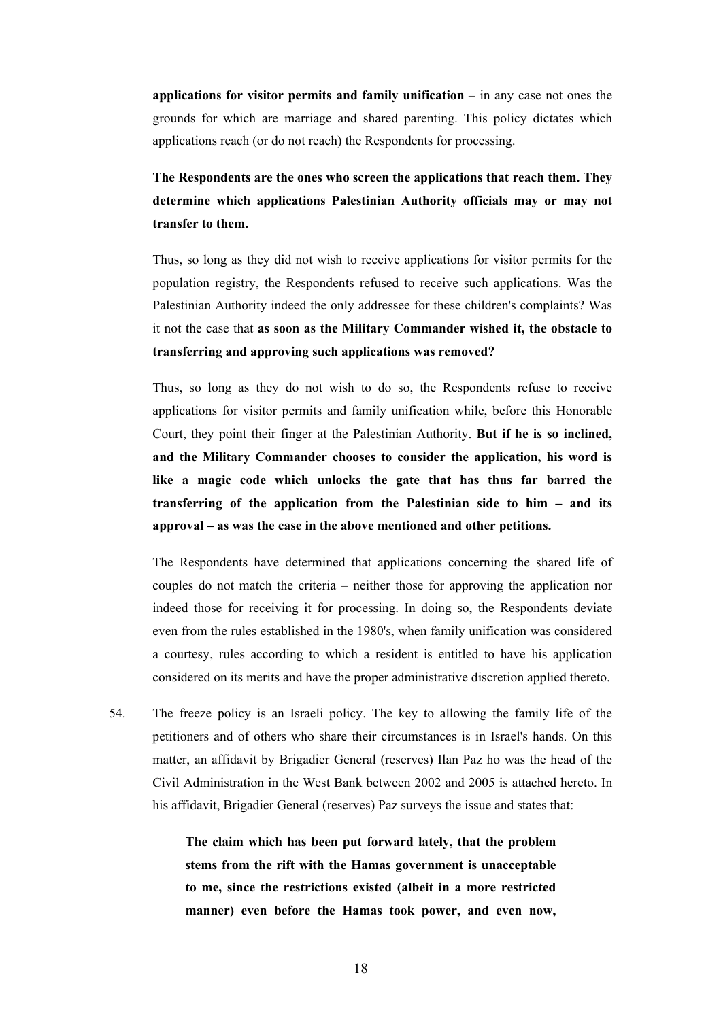**applications for visitor permits and family unification** – in any case not ones the grounds for which are marriage and shared parenting. This policy dictates which applications reach (or do not reach) the Respondents for processing.

 **The Respondents are the ones who screen the applications that reach them. They determine which applications Palestinian Authority officials may or may not transfer to them.**

 Thus, so long as they did not wish to receive applications for visitor permits for the population registry, the Respondents refused to receive such applications. Was the Palestinian Authority indeed the only addressee for these children's complaints? Was it not the case that **as soon as the Military Commander wished it, the obstacle to transferring and approving such applications was removed?**

 Thus, so long as they do not wish to do so, the Respondents refuse to receive applications for visitor permits and family unification while, before this Honorable Court, they point their finger at the Palestinian Authority. **But if he is so inclined, and the Military Commander chooses to consider the application, his word is like a magic code which unlocks the gate that has thus far barred the transferring of the application from the Palestinian side to him – and its approval – as was the case in the above mentioned and other petitions.**

The Respondents have determined that applications concerning the shared life of couples do not match the criteria – neither those for approving the application nor indeed those for receiving it for processing. In doing so, the Respondents deviate even from the rules established in the 1980's, when family unification was considered a courtesy, rules according to which a resident is entitled to have his application considered on its merits and have the proper administrative discretion applied thereto.

54. The freeze policy is an Israeli policy. The key to allowing the family life of the petitioners and of others who share their circumstances is in Israel's hands. On this matter, an affidavit by Brigadier General (reserves) Ilan Paz ho was the head of the Civil Administration in the West Bank between 2002 and 2005 is attached hereto. In his affidavit, Brigadier General (reserves) Paz surveys the issue and states that:

> **The claim which has been put forward lately, that the problem stems from the rift with the Hamas government is unacceptable to me, since the restrictions existed (albeit in a more restricted manner) even before the Hamas took power, and even now,**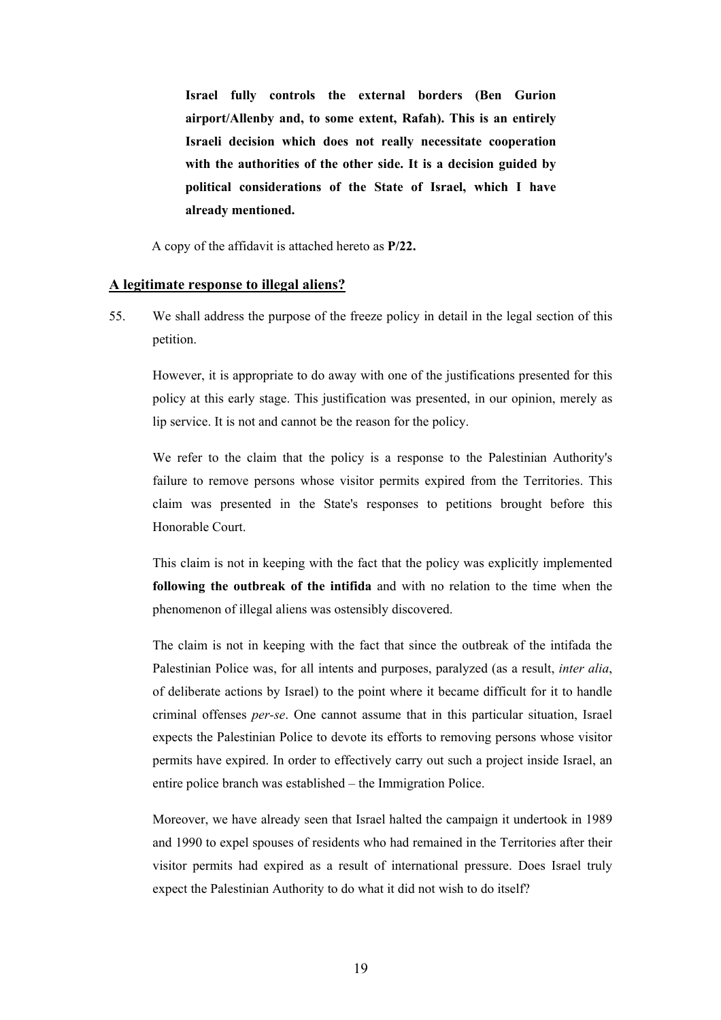**Israel fully controls the external borders (Ben Gurion airport/Allenby and, to some extent, Rafah). This is an entirely Israeli decision which does not really necessitate cooperation with the authorities of the other side. It is a decision guided by political considerations of the State of Israel, which I have already mentioned.**

A copy of the affidavit is attached hereto as **P/22.** 

#### **A legitimate response to illegal aliens?**

55. We shall address the purpose of the freeze policy in detail in the legal section of this petition.

 However, it is appropriate to do away with one of the justifications presented for this policy at this early stage. This justification was presented, in our opinion, merely as lip service. It is not and cannot be the reason for the policy.

 We refer to the claim that the policy is a response to the Palestinian Authority's failure to remove persons whose visitor permits expired from the Territories. This claim was presented in the State's responses to petitions brought before this Honorable Court.

 This claim is not in keeping with the fact that the policy was explicitly implemented **following the outbreak of the intifida** and with no relation to the time when the phenomenon of illegal aliens was ostensibly discovered.

 The claim is not in keeping with the fact that since the outbreak of the intifada the Palestinian Police was, for all intents and purposes, paralyzed (as a result, *inter alia*, of deliberate actions by Israel) to the point where it became difficult for it to handle criminal offenses *per-se*. One cannot assume that in this particular situation, Israel expects the Palestinian Police to devote its efforts to removing persons whose visitor permits have expired. In order to effectively carry out such a project inside Israel, an entire police branch was established – the Immigration Police.

 Moreover, we have already seen that Israel halted the campaign it undertook in 1989 and 1990 to expel spouses of residents who had remained in the Territories after their visitor permits had expired as a result of international pressure. Does Israel truly expect the Palestinian Authority to do what it did not wish to do itself?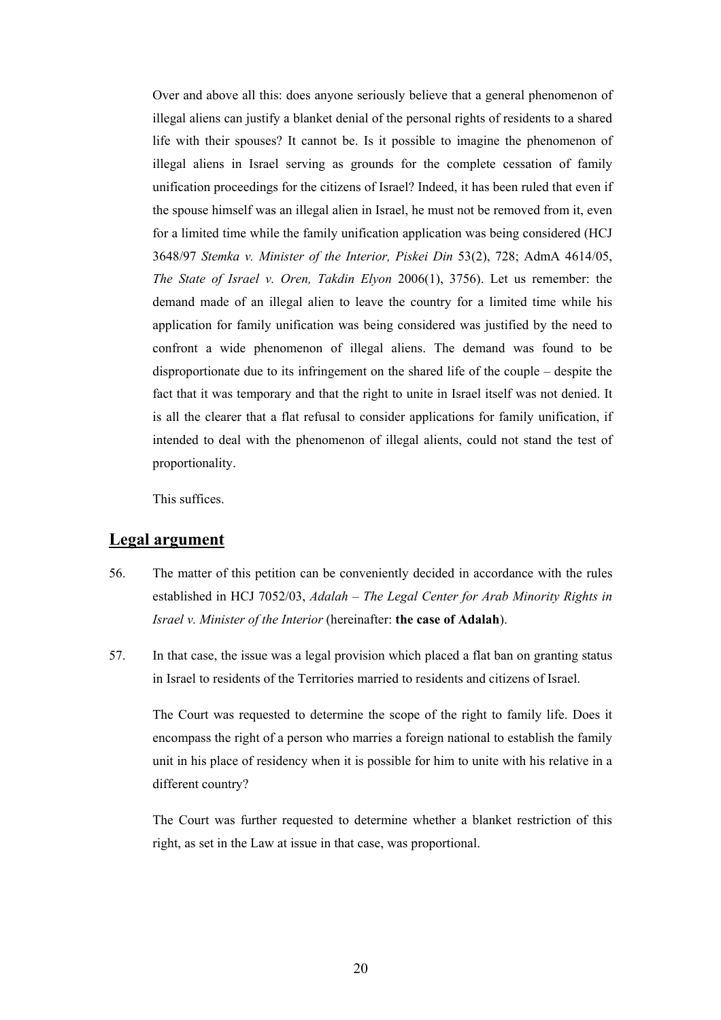Over and above all this: does anyone seriously believe that a general phenomenon of illegal aliens can justify a blanket denial of the personal rights of residents to a shared life with their spouses? It cannot be. Is it possible to imagine the phenomenon of illegal aliens in Israel serving as grounds for the complete cessation of family unification proceedings for the citizens of Israel? Indeed, it has been ruled that even if the spouse himself was an illegal alien in Israel, he must not be removed from it, even for a limited time while the family unification application was being considered (HCJ 3648/97 *Stemka v. Minister of the Interior, Piskei Din* 53(2), 728; AdmA 4614/05, *The State of Israel v. Oren, Takdin Elyon* 2006(1), 3756). Let us remember: the demand made of an illegal alien to leave the country for a limited time while his application for family unification was being considered was justified by the need to confront a wide phenomenon of illegal aliens. The demand was found to be disproportionate due to its infringement on the shared life of the couple – despite the fact that it was temporary and that the right to unite in Israel itself was not denied. It is all the clearer that a flat refusal to consider applications for family unification, if intended to deal with the phenomenon of illegal alients, could not stand the test of proportionality.

This suffices.

# **Legal argument**

- 56. The matter of this petition can be conveniently decided in accordance with the rules established in HCJ 7052/03, *Adalah – The Legal Center for Arab Minority Rights in Israel v. Minister of the Interior* (hereinafter: **the case of Adalah**).
- 57. In that case, the issue was a legal provision which placed a flat ban on granting status in Israel to residents of the Territories married to residents and citizens of Israel.

 The Court was requested to determine the scope of the right to family life. Does it encompass the right of a person who marries a foreign national to establish the family unit in his place of residency when it is possible for him to unite with his relative in a different country?

 The Court was further requested to determine whether a blanket restriction of this right, as set in the Law at issue in that case, was proportional.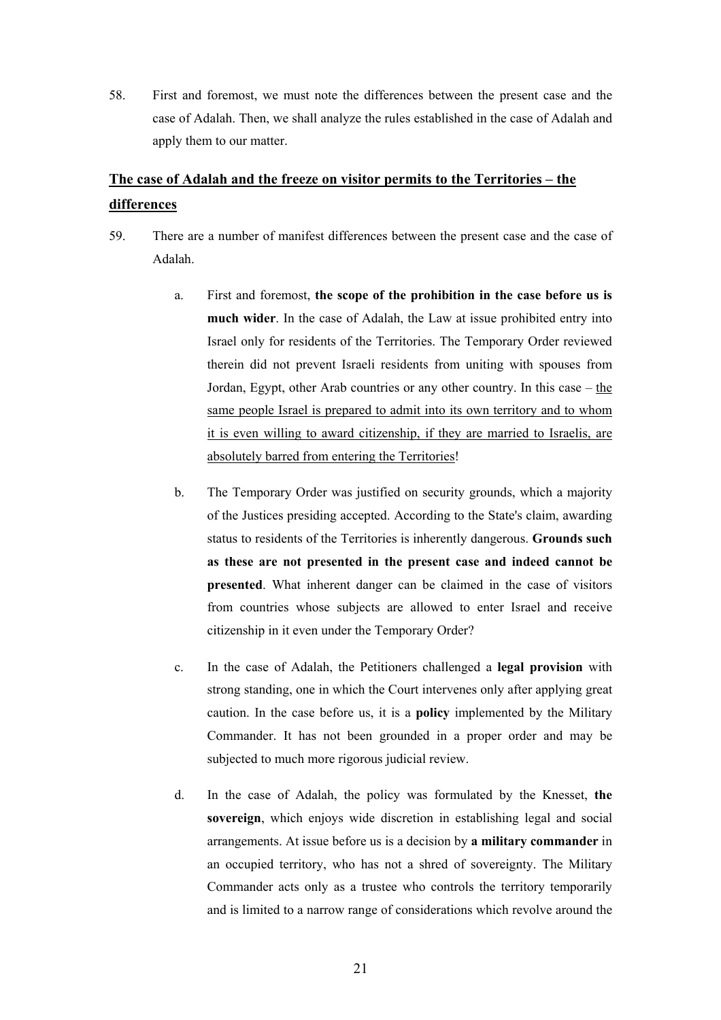58. First and foremost, we must note the differences between the present case and the case of Adalah. Then, we shall analyze the rules established in the case of Adalah and apply them to our matter.

# **The case of Adalah and the freeze on visitor permits to the Territories – the differences**

- 59. There are a number of manifest differences between the present case and the case of Adalah.
	- a. First and foremost, **the scope of the prohibition in the case before us is much wider**. In the case of Adalah, the Law at issue prohibited entry into Israel only for residents of the Territories. The Temporary Order reviewed therein did not prevent Israeli residents from uniting with spouses from Jordan, Egypt, other Arab countries or any other country. In this case – the same people Israel is prepared to admit into its own territory and to whom it is even willing to award citizenship, if they are married to Israelis, are absolutely barred from entering the Territories!
	- b. The Temporary Order was justified on security grounds, which a majority of the Justices presiding accepted. According to the State's claim, awarding status to residents of the Territories is inherently dangerous. **Grounds such as these are not presented in the present case and indeed cannot be presented**. What inherent danger can be claimed in the case of visitors from countries whose subjects are allowed to enter Israel and receive citizenship in it even under the Temporary Order?
	- c. In the case of Adalah, the Petitioners challenged a **legal provision** with strong standing, one in which the Court intervenes only after applying great caution. In the case before us, it is a **policy** implemented by the Military Commander. It has not been grounded in a proper order and may be subjected to much more rigorous judicial review.
	- d. In the case of Adalah, the policy was formulated by the Knesset, **the sovereign**, which enjoys wide discretion in establishing legal and social arrangements. At issue before us is a decision by **a military commander** in an occupied territory, who has not a shred of sovereignty. The Military Commander acts only as a trustee who controls the territory temporarily and is limited to a narrow range of considerations which revolve around the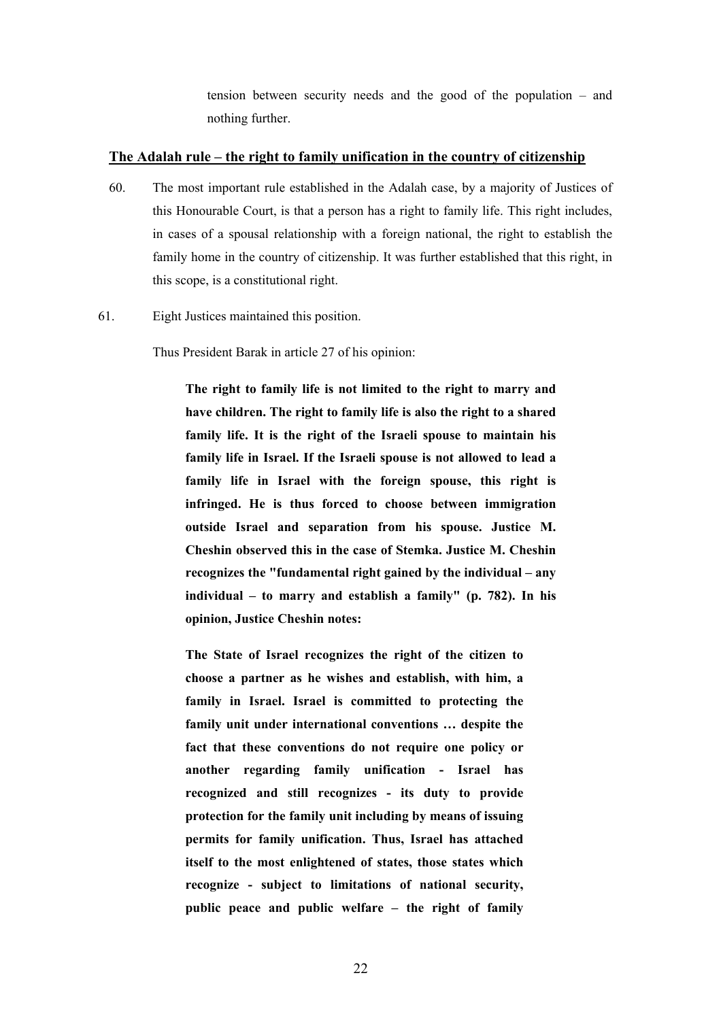tension between security needs and the good of the population – and nothing further.

# **The Adalah rule – the right to family unification in the country of citizenship**

- 60. The most important rule established in the Adalah case, by a majority of Justices of this Honourable Court, is that a person has a right to family life. This right includes, in cases of a spousal relationship with a foreign national, the right to establish the family home in the country of citizenship. It was further established that this right, in this scope, is a constitutional right.
- 61. Eight Justices maintained this position.

Thus President Barak in article 27 of his opinion:

 **The right to family life is not limited to the right to marry and have children. The right to family life is also the right to a shared family life. It is the right of the Israeli spouse to maintain his family life in Israel. If the Israeli spouse is not allowed to lead a family life in Israel with the foreign spouse, this right is infringed. He is thus forced to choose between immigration outside Israel and separation from his spouse. Justice M. Cheshin observed this in the case of Stemka. Justice M. Cheshin recognizes the "fundamental right gained by the individual – any individual – to marry and establish a family" (p. 782). In his opinion, Justice Cheshin notes:** 

 **The State of Israel recognizes the right of the citizen to choose a partner as he wishes and establish, with him, a family in Israel. Israel is committed to protecting the family unit under international conventions … despite the fact that these conventions do not require one policy or another regarding family unification - Israel has recognized and still recognizes - its duty to provide protection for the family unit including by means of issuing permits for family unification. Thus, Israel has attached itself to the most enlightened of states, those states which recognize - subject to limitations of national security, public peace and public welfare – the right of family**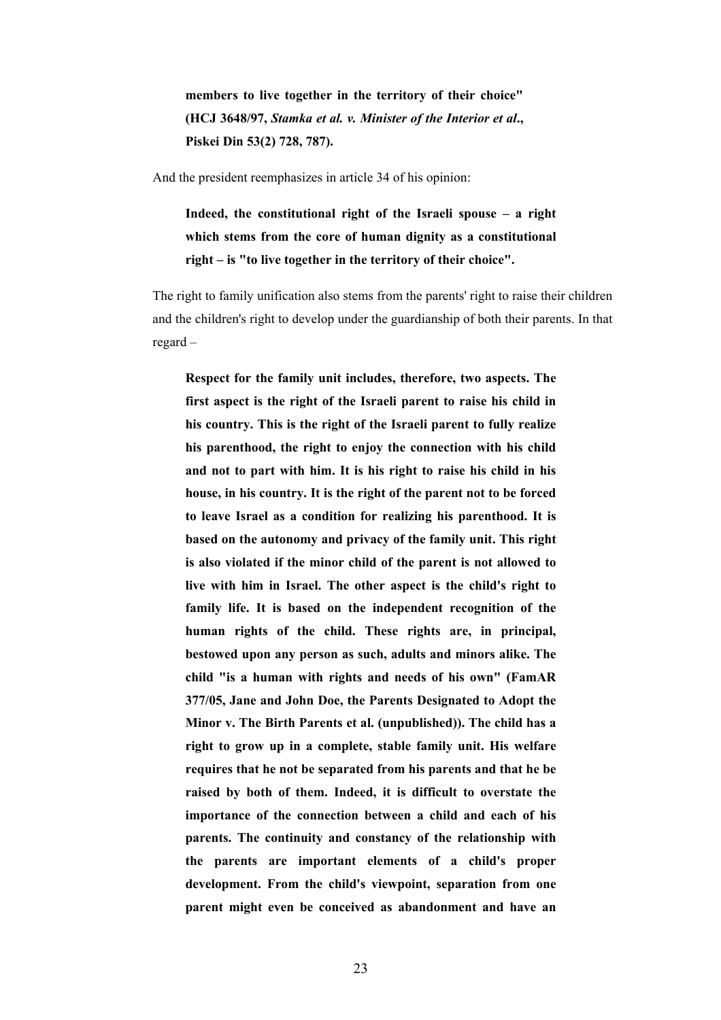**members to live together in the territory of their choice" (HCJ 3648/97,** *Stamka et al. v. Minister of the Interior et al***., Piskei Din 53(2) 728, 787).** 

And the president reemphasizes in article 34 of his opinion:

```
 Indeed, the constitutional right of the Israeli spouse – a right 
which stems from the core of human dignity as a constitutional 
right – is "to live together in the territory of their choice".
```
 The right to family unification also stems from the parents' right to raise their children and the children's right to develop under the guardianship of both their parents. In that regard –

 **Respect for the family unit includes, therefore, two aspects. The first aspect is the right of the Israeli parent to raise his child in his country. This is the right of the Israeli parent to fully realize his parenthood, the right to enjoy the connection with his child and not to part with him. It is his right to raise his child in his house, in his country. It is the right of the parent not to be forced to leave Israel as a condition for realizing his parenthood. It is based on the autonomy and privacy of the family unit. This right is also violated if the minor child of the parent is not allowed to live with him in Israel. The other aspect is the child's right to family life. It is based on the independent recognition of the human rights of the child. These rights are, in principal, bestowed upon any person as such, adults and minors alike. The child "is a human with rights and needs of his own" (FamAR 377/05, Jane and John Doe, the Parents Designated to Adopt the Minor v. The Birth Parents et al. (unpublished)). The child has a right to grow up in a complete, stable family unit. His welfare requires that he not be separated from his parents and that he be raised by both of them. Indeed, it is difficult to overstate the importance of the connection between a child and each of his parents. The continuity and constancy of the relationship with the parents are important elements of a child's proper development. From the child's viewpoint, separation from one parent might even be conceived as abandonment and have an**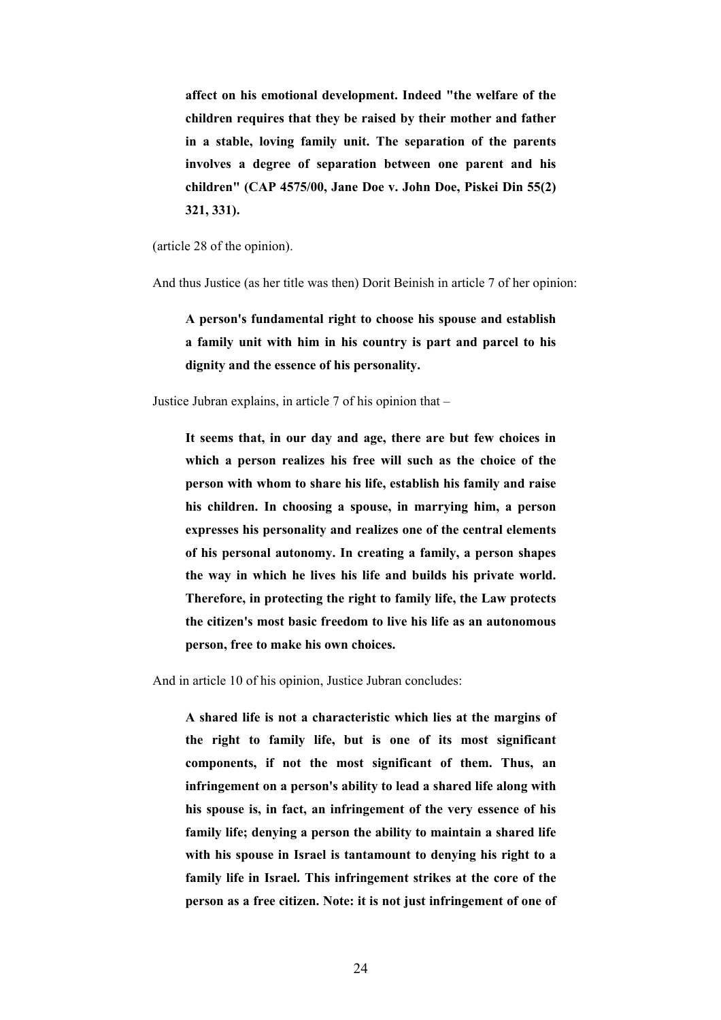**affect on his emotional development. Indeed "the welfare of the children requires that they be raised by their mother and father in a stable, loving family unit. The separation of the parents involves a degree of separation between one parent and his children" (CAP 4575/00, Jane Doe v. John Doe, Piskei Din 55(2) 321, 331).** 

(article 28 of the opinion).

And thus Justice (as her title was then) Dorit Beinish in article 7 of her opinion:

 **A person's fundamental right to choose his spouse and establish a family unit with him in his country is part and parcel to his dignity and the essence of his personality.**

Justice Jubran explains, in article 7 of his opinion that –

 **It seems that, in our day and age, there are but few choices in which a person realizes his free will such as the choice of the person with whom to share his life, establish his family and raise his children. In choosing a spouse, in marrying him, a person expresses his personality and realizes one of the central elements of his personal autonomy. In creating a family, a person shapes the way in which he lives his life and builds his private world. Therefore, in protecting the right to family life, the Law protects the citizen's most basic freedom to live his life as an autonomous person, free to make his own choices.**

And in article 10 of his opinion, Justice Jubran concludes:

 **A shared life is not a characteristic which lies at the margins of the right to family life, but is one of its most significant components, if not the most significant of them. Thus, an infringement on a person's ability to lead a shared life along with his spouse is, in fact, an infringement of the very essence of his family life; denying a person the ability to maintain a shared life with his spouse in Israel is tantamount to denying his right to a family life in Israel. This infringement strikes at the core of the person as a free citizen. Note: it is not just infringement of one of**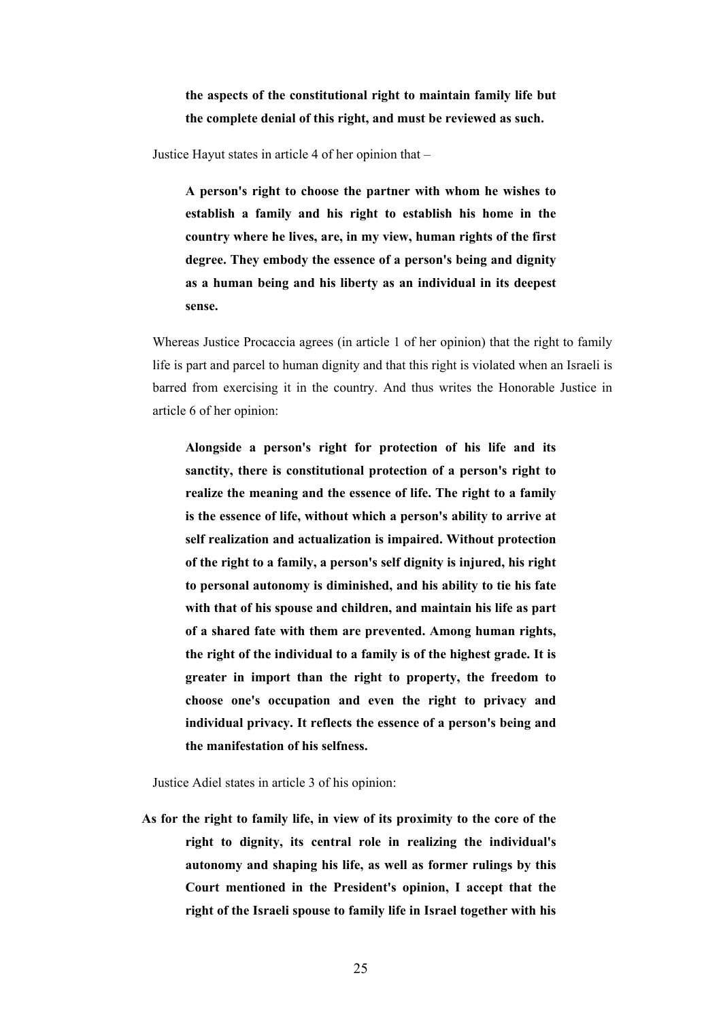**the aspects of the constitutional right to maintain family life but the complete denial of this right, and must be reviewed as such.**

Justice Hayut states in article 4 of her opinion that –

 **A person's right to choose the partner with whom he wishes to establish a family and his right to establish his home in the country where he lives, are, in my view, human rights of the first degree. They embody the essence of a person's being and dignity as a human being and his liberty as an individual in its deepest sense.**

 Whereas Justice Procaccia agrees (in article 1 of her opinion) that the right to family life is part and parcel to human dignity and that this right is violated when an Israeli is barred from exercising it in the country. And thus writes the Honorable Justice in article 6 of her opinion:

 **Alongside a person's right for protection of his life and its sanctity, there is constitutional protection of a person's right to realize the meaning and the essence of life. The right to a family is the essence of life, without which a person's ability to arrive at self realization and actualization is impaired. Without protection of the right to a family, a person's self dignity is injured, his right to personal autonomy is diminished, and his ability to tie his fate with that of his spouse and children, and maintain his life as part of a shared fate with them are prevented. Among human rights, the right of the individual to a family is of the highest grade. It is greater in import than the right to property, the freedom to choose one's occupation and even the right to privacy and individual privacy. It reflects the essence of a person's being and the manifestation of his selfness.**

Justice Adiel states in article 3 of his opinion:

**As for the right to family life, in view of its proximity to the core of the right to dignity, its central role in realizing the individual's autonomy and shaping his life, as well as former rulings by this Court mentioned in the President's opinion, I accept that the right of the Israeli spouse to family life in Israel together with his**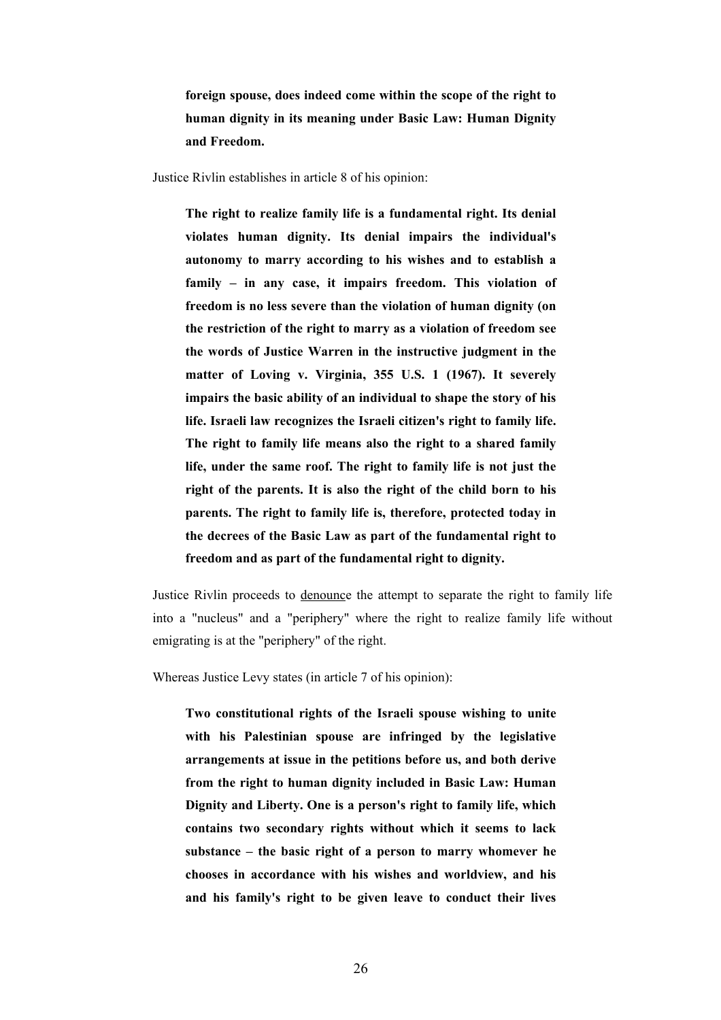**foreign spouse, does indeed come within the scope of the right to human dignity in its meaning under Basic Law: Human Dignity and Freedom.**

Justice Rivlin establishes in article 8 of his opinion:

 **The right to realize family life is a fundamental right. Its denial violates human dignity. Its denial impairs the individual's autonomy to marry according to his wishes and to establish a family – in any case, it impairs freedom. This violation of freedom is no less severe than the violation of human dignity (on the restriction of the right to marry as a violation of freedom see the words of Justice Warren in the instructive judgment in the matter of Loving v. Virginia, 355 U.S. 1 (1967). It severely impairs the basic ability of an individual to shape the story of his life. Israeli law recognizes the Israeli citizen's right to family life. The right to family life means also the right to a shared family life, under the same roof. The right to family life is not just the right of the parents. It is also the right of the child born to his parents. The right to family life is, therefore, protected today in the decrees of the Basic Law as part of the fundamental right to freedom and as part of the fundamental right to dignity.**

 Justice Rivlin proceeds to denounce the attempt to separate the right to family life into a "nucleus" and a "periphery" where the right to realize family life without emigrating is at the "periphery" of the right.

Whereas Justice Levy states (in article 7 of his opinion):

 **Two constitutional rights of the Israeli spouse wishing to unite with his Palestinian spouse are infringed by the legislative arrangements at issue in the petitions before us, and both derive from the right to human dignity included in Basic Law: Human Dignity and Liberty. One is a person's right to family life, which contains two secondary rights without which it seems to lack substance – the basic right of a person to marry whomever he chooses in accordance with his wishes and worldview, and his and his family's right to be given leave to conduct their lives**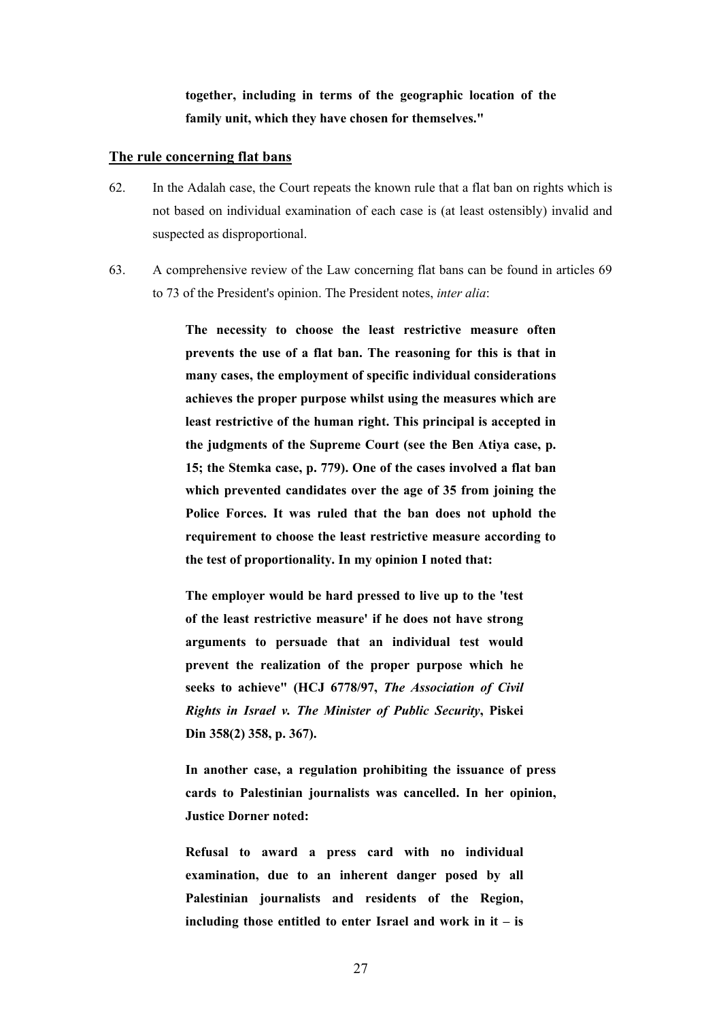**together, including in terms of the geographic location of the family unit, which they have chosen for themselves."** 

### **The rule concerning flat bans**

- 62. In the Adalah case, the Court repeats the known rule that a flat ban on rights which is not based on individual examination of each case is (at least ostensibly) invalid and suspected as disproportional.
- 63. A comprehensive review of the Law concerning flat bans can be found in articles 69 to 73 of the President's opinion. The President notes, *inter alia*:

 **The necessity to choose the least restrictive measure often prevents the use of a flat ban. The reasoning for this is that in many cases, the employment of specific individual considerations achieves the proper purpose whilst using the measures which are least restrictive of the human right. This principal is accepted in the judgments of the Supreme Court (see the Ben Atiya case, p. 15; the Stemka case, p. 779). One of the cases involved a flat ban which prevented candidates over the age of 35 from joining the Police Forces. It was ruled that the ban does not uphold the requirement to choose the least restrictive measure according to the test of proportionality. In my opinion I noted that:** 

 **The employer would be hard pressed to live up to the 'test of the least restrictive measure' if he does not have strong arguments to persuade that an individual test would prevent the realization of the proper purpose which he seeks to achieve" (HCJ 6778/97,** *The Association of Civil Rights in Israel v. The Minister of Public Security***, Piskei Din 358(2) 358, p. 367).** 

 **In another case, a regulation prohibiting the issuance of press cards to Palestinian journalists was cancelled. In her opinion, Justice Dorner noted:** 

 **Refusal to award a press card with no individual examination, due to an inherent danger posed by all Palestinian journalists and residents of the Region, including those entitled to enter Israel and work in it – is**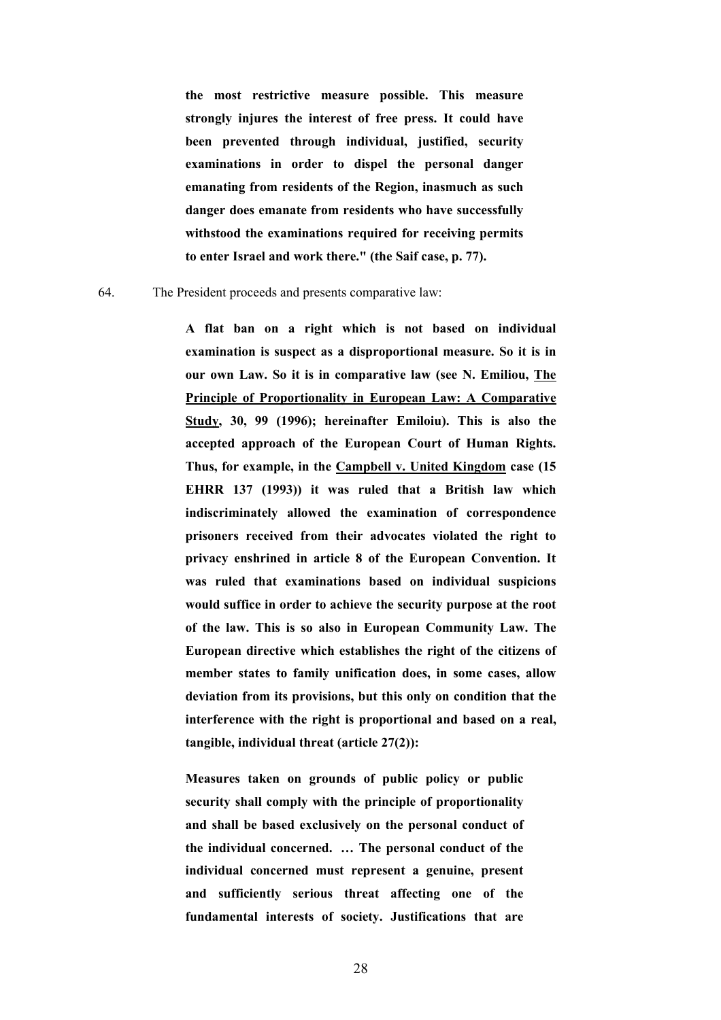**the most restrictive measure possible. This measure strongly injures the interest of free press. It could have been prevented through individual, justified, security examinations in order to dispel the personal danger emanating from residents of the Region, inasmuch as such danger does emanate from residents who have successfully withstood the examinations required for receiving permits to enter Israel and work there." (the Saif case, p. 77).**

#### 64. The President proceeds and presents comparative law:

 **A flat ban on a right which is not based on individual examination is suspect as a disproportional measure. So it is in our own Law. So it is in comparative law (see N. Emiliou, The Principle of Proportionality in European Law: A Comparative Study, 30, 99 (1996); hereinafter Emiloiu). This is also the accepted approach of the European Court of Human Rights. Thus, for example, in the Campbell v. United Kingdom case (15 EHRR 137 (1993)) it was ruled that a British law which indiscriminately allowed the examination of correspondence prisoners received from their advocates violated the right to privacy enshrined in article 8 of the European Convention. It was ruled that examinations based on individual suspicions would suffice in order to achieve the security purpose at the root of the law. This is so also in European Community Law. The European directive which establishes the right of the citizens of member states to family unification does, in some cases, allow deviation from its provisions, but this only on condition that the interference with the right is proportional and based on a real, tangible, individual threat (article 27(2)):** 

 **Measures taken on grounds of public policy or public security shall comply with the principle of proportionality and shall be based exclusively on the personal conduct of the individual concerned. … The personal conduct of the individual concerned must represent a genuine, present and sufficiently serious threat affecting one of the fundamental interests of society. Justifications that are**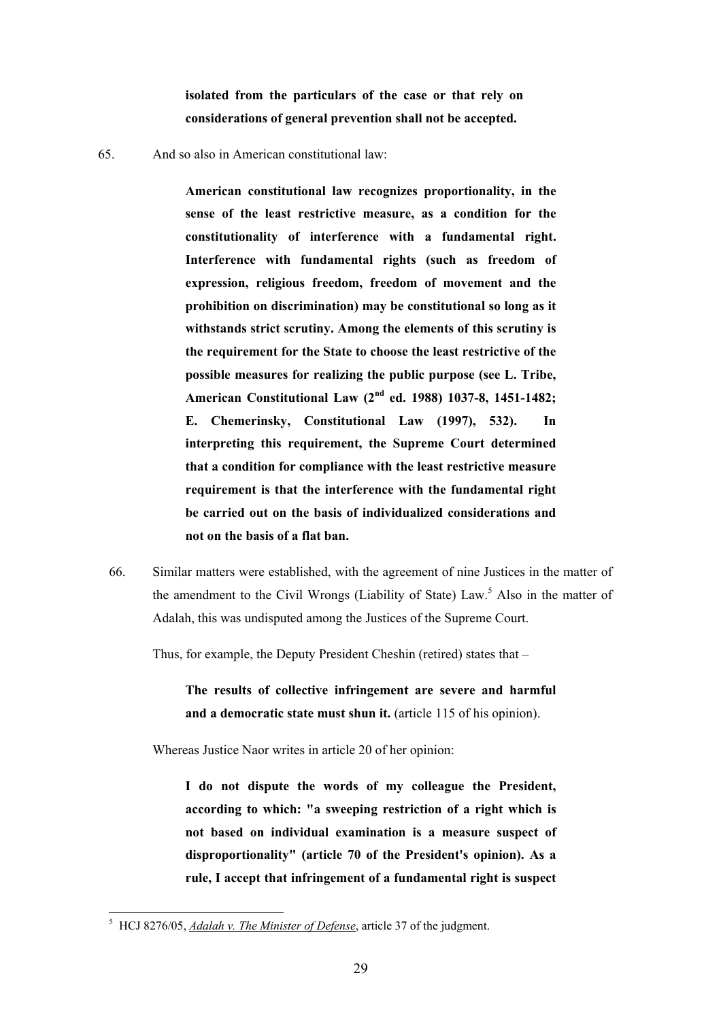**isolated from the particulars of the case or that rely on considerations of general prevention shall not be accepted.** 

65. And so also in American constitutional law:

 **American constitutional law recognizes proportionality, in the sense of the least restrictive measure, as a condition for the constitutionality of interference with a fundamental right. Interference with fundamental rights (such as freedom of expression, religious freedom, freedom of movement and the prohibition on discrimination) may be constitutional so long as it withstands strict scrutiny. Among the elements of this scrutiny is the requirement for the State to choose the least restrictive of the possible measures for realizing the public purpose (see L. Tribe, American Constitutional Law (2nd ed. 1988) 1037-8, 1451-1482; E. Chemerinsky, Constitutional Law (1997), 532). In interpreting this requirement, the Supreme Court determined that a condition for compliance with the least restrictive measure requirement is that the interference with the fundamental right be carried out on the basis of individualized considerations and not on the basis of a flat ban.**

66. Similar matters were established, with the agreement of nine Justices in the matter of the amendment to the Civil Wrongs (Liability of State) Law.<sup>5</sup> Also in the matter of Adalah, this was undisputed among the Justices of the Supreme Court.

Thus, for example, the Deputy President Cheshin (retired) states that –

 **The results of collective infringement are severe and harmful**  and a democratic state must shun it. (article 115 of his opinion).

Whereas Justice Naor writes in article 20 of her opinion:

 **I do not dispute the words of my colleague the President, according to which: "a sweeping restriction of a right which is not based on individual examination is a measure suspect of disproportionality" (article 70 of the President's opinion). As a rule, I accept that infringement of a fundamental right is suspect** 

 5 HCJ 8276/05, *Adalah v. The Minister of Defense*, article 37 of the judgment.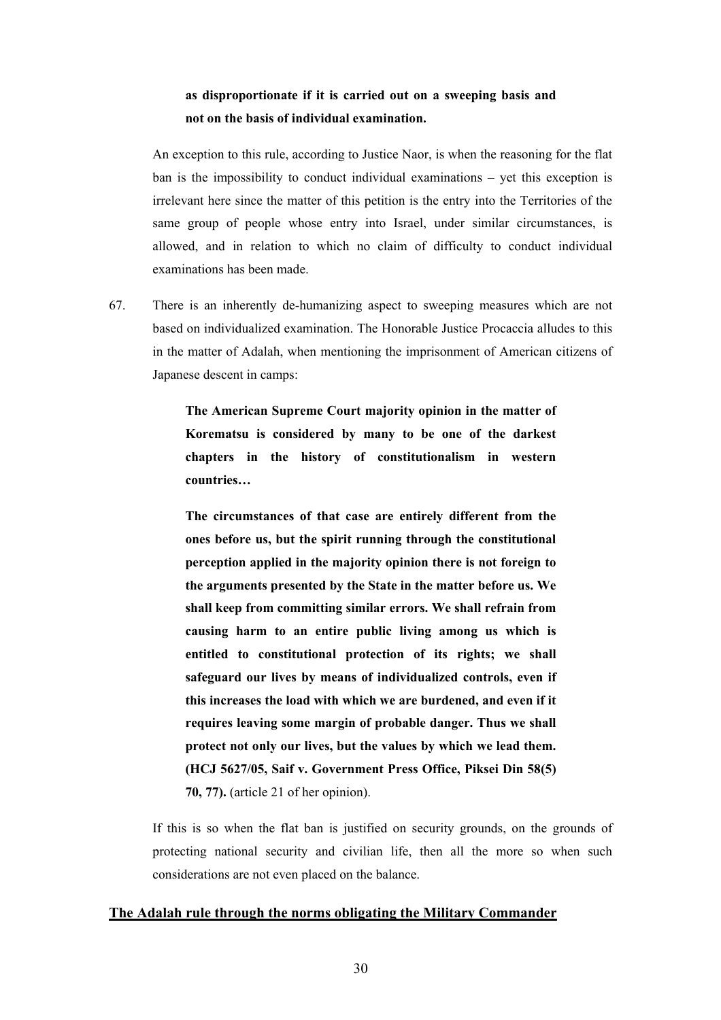# **as disproportionate if it is carried out on a sweeping basis and not on the basis of individual examination.**

 An exception to this rule, according to Justice Naor, is when the reasoning for the flat ban is the impossibility to conduct individual examinations – yet this exception is irrelevant here since the matter of this petition is the entry into the Territories of the same group of people whose entry into Israel, under similar circumstances, is allowed, and in relation to which no claim of difficulty to conduct individual examinations has been made.

67. There is an inherently de-humanizing aspect to sweeping measures which are not based on individualized examination. The Honorable Justice Procaccia alludes to this in the matter of Adalah, when mentioning the imprisonment of American citizens of Japanese descent in camps:

> **The American Supreme Court majority opinion in the matter of Korematsu is considered by many to be one of the darkest chapters in the history of constitutionalism in western countries…**

> **The circumstances of that case are entirely different from the ones before us, but the spirit running through the constitutional perception applied in the majority opinion there is not foreign to the arguments presented by the State in the matter before us. We shall keep from committing similar errors. We shall refrain from causing harm to an entire public living among us which is entitled to constitutional protection of its rights; we shall safeguard our lives by means of individualized controls, even if this increases the load with which we are burdened, and even if it requires leaving some margin of probable danger. Thus we shall protect not only our lives, but the values by which we lead them. (HCJ 5627/05, Saif v. Government Press Office, Piksei Din 58(5) 70, 77).** (article 21 of her opinion).

 If this is so when the flat ban is justified on security grounds, on the grounds of protecting national security and civilian life, then all the more so when such considerations are not even placed on the balance.

## **The Adalah rule through the norms obligating the Military Commander**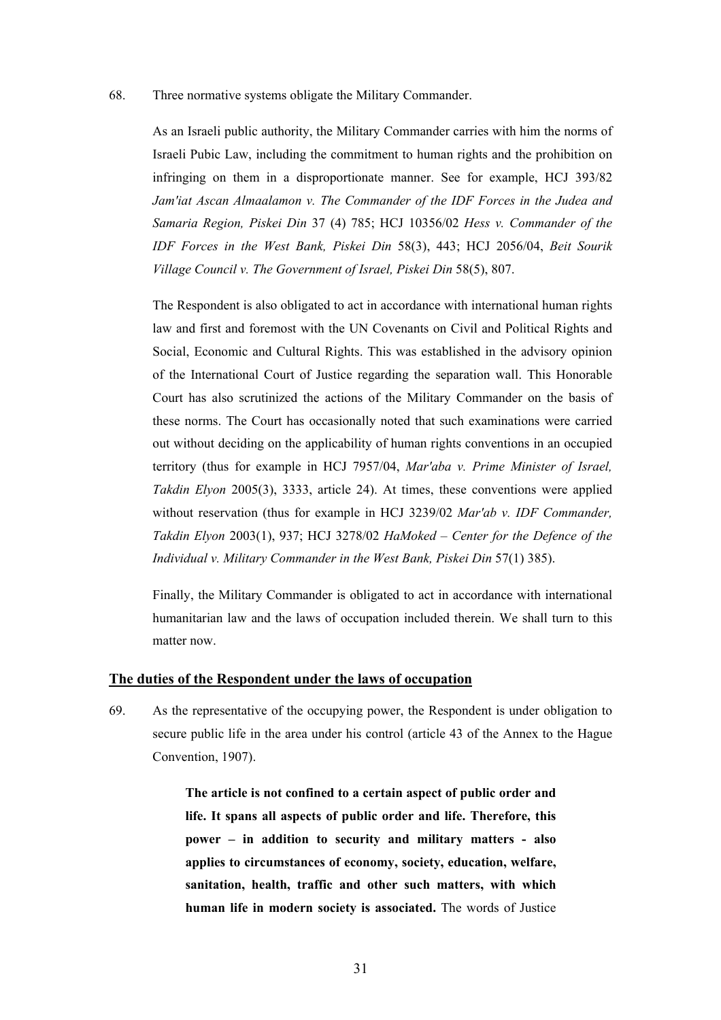#### 68. Three normative systems obligate the Military Commander.

 As an Israeli public authority, the Military Commander carries with him the norms of Israeli Pubic Law, including the commitment to human rights and the prohibition on infringing on them in a disproportionate manner. See for example, HCJ 393/82 *Jam'iat Ascan Almaalamon v. The Commander of the IDF Forces in the Judea and Samaria Region, Piskei Din* 37 (4) 785; HCJ 10356/02 *Hess v. Commander of the IDF Forces in the West Bank, Piskei Din* 58(3), 443; HCJ 2056/04, *Beit Sourik Village Council v. The Government of Israel, Piskei Din* 58(5), 807.

 The Respondent is also obligated to act in accordance with international human rights law and first and foremost with the UN Covenants on Civil and Political Rights and Social, Economic and Cultural Rights. This was established in the advisory opinion of the International Court of Justice regarding the separation wall. This Honorable Court has also scrutinized the actions of the Military Commander on the basis of these norms. The Court has occasionally noted that such examinations were carried out without deciding on the applicability of human rights conventions in an occupied territory (thus for example in HCJ 7957/04, *Mar'aba v. Prime Minister of Israel, Takdin Elyon* 2005(3), 3333, article 24). At times, these conventions were applied without reservation (thus for example in HCJ 3239/02 *Mar'ab v. IDF Commander, Takdin Elyon* 2003(1), 937; HCJ 3278/02 *HaMoked – Center for the Defence of the Individual v. Military Commander in the West Bank, Piskei Din* 57(1) 385).

 Finally, the Military Commander is obligated to act in accordance with international humanitarian law and the laws of occupation included therein. We shall turn to this matter now.

#### **The duties of the Respondent under the laws of occupation**

69. As the representative of the occupying power, the Respondent is under obligation to secure public life in the area under his control (article 43 of the Annex to the Hague Convention, 1907).

> **The article is not confined to a certain aspect of public order and life. It spans all aspects of public order and life. Therefore, this power – in addition to security and military matters - also applies to circumstances of economy, society, education, welfare, sanitation, health, traffic and other such matters, with which human life in modern society is associated.** The words of Justice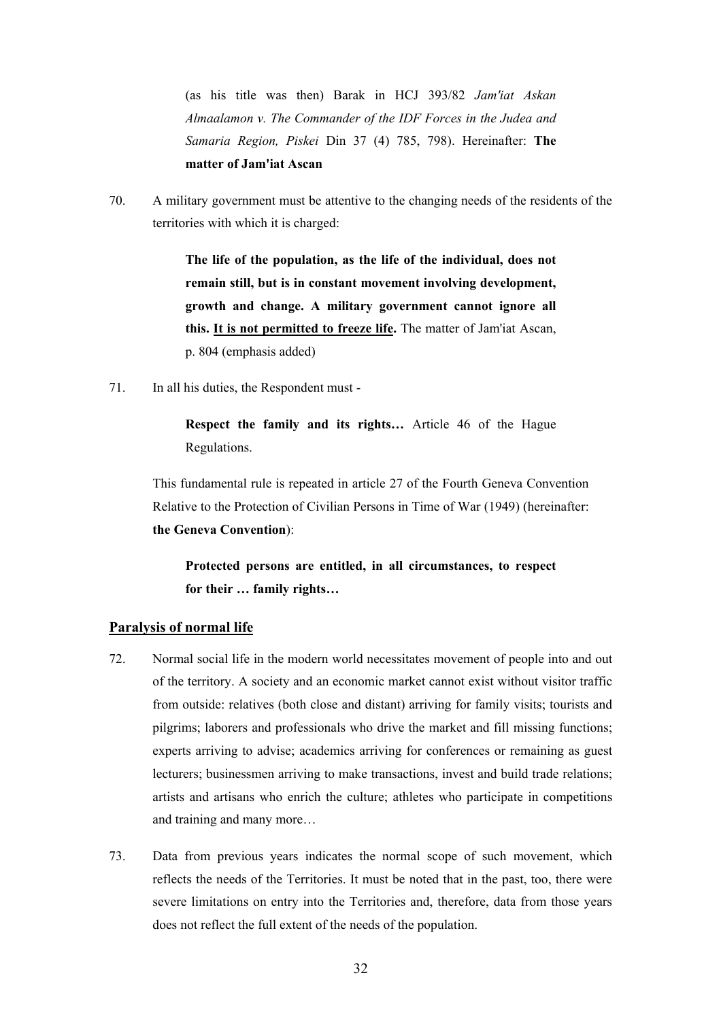(as his title was then) Barak in HCJ 393/82 *Jam'iat Askan Almaalamon v. The Commander of the IDF Forces in the Judea and Samaria Region, Piskei* Din 37 (4) 785, 798). Hereinafter: **The matter of Jam'iat Ascan**

70. A military government must be attentive to the changing needs of the residents of the territories with which it is charged:

> **The life of the population, as the life of the individual, does not remain still, but is in constant movement involving development, growth and change. A military government cannot ignore all this. It is not permitted to freeze life.** The matter of Jam'iat Ascan, p. 804 (emphasis added)

71. In all his duties, the Respondent must -

 **Respect the family and its rights…** Article 46 of the Hague Regulations.

 This fundamental rule is repeated in article 27 of the Fourth Geneva Convention Relative to the Protection of Civilian Persons in Time of War (1949) (hereinafter: **the Geneva Convention**):

 **Protected persons are entitled, in all circumstances, to respect for their … family rights…** 

## **Paralysis of normal life**

- 72. Normal social life in the modern world necessitates movement of people into and out of the territory. A society and an economic market cannot exist without visitor traffic from outside: relatives (both close and distant) arriving for family visits; tourists and pilgrims; laborers and professionals who drive the market and fill missing functions; experts arriving to advise; academics arriving for conferences or remaining as guest lecturers; businessmen arriving to make transactions, invest and build trade relations; artists and artisans who enrich the culture; athletes who participate in competitions and training and many more…
- 73. Data from previous years indicates the normal scope of such movement, which reflects the needs of the Territories. It must be noted that in the past, too, there were severe limitations on entry into the Territories and, therefore, data from those years does not reflect the full extent of the needs of the population.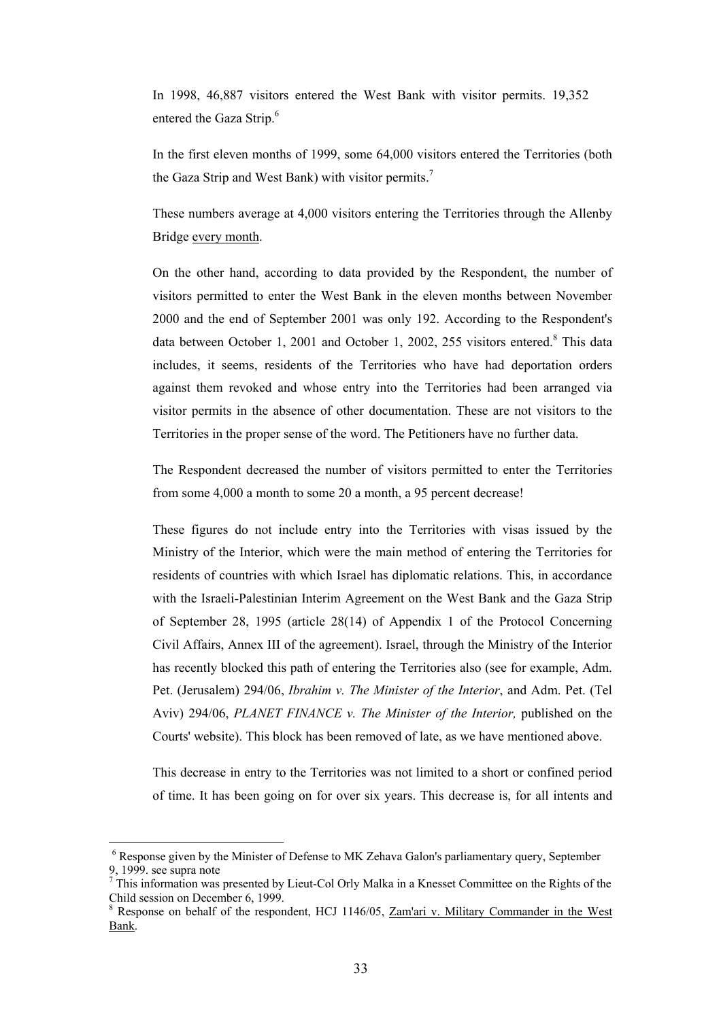In 1998, 46,887 visitors entered the West Bank with visitor permits. 19,352 entered the Gaza Strip.<sup>6</sup>

 In the first eleven months of 1999, some 64,000 visitors entered the Territories (both the Gaza Strip and West Bank) with visitor permits.<sup>7</sup>

 These numbers average at 4,000 visitors entering the Territories through the Allenby Bridge every month.

 On the other hand, according to data provided by the Respondent, the number of visitors permitted to enter the West Bank in the eleven months between November 2000 and the end of September 2001 was only 192. According to the Respondent's data between October 1, 2001 and October 1, 2002, 255 visitors entered.<sup>8</sup> This data includes, it seems, residents of the Territories who have had deportation orders against them revoked and whose entry into the Territories had been arranged via visitor permits in the absence of other documentation. These are not visitors to the Territories in the proper sense of the word. The Petitioners have no further data.

 The Respondent decreased the number of visitors permitted to enter the Territories from some 4,000 a month to some 20 a month, a 95 percent decrease!

 These figures do not include entry into the Territories with visas issued by the Ministry of the Interior, which were the main method of entering the Territories for residents of countries with which Israel has diplomatic relations. This, in accordance with the Israeli-Palestinian Interim Agreement on the West Bank and the Gaza Strip of September 28, 1995 (article 28(14) of Appendix 1 of the Protocol Concerning Civil Affairs, Annex III of the agreement). Israel, through the Ministry of the Interior has recently blocked this path of entering the Territories also (see for example, Adm. Pet. (Jerusalem) 294/06, *Ibrahim v. The Minister of the Interior*, and Adm. Pet. (Tel Aviv) 294/06, *PLANET FINANCE v. The Minister of the Interior,* published on the Courts' website). This block has been removed of late, as we have mentioned above.

 This decrease in entry to the Territories was not limited to a short or confined period of time. It has been going on for over six years. This decrease is, for all intents and

 $\overline{a}$ 

<sup>&</sup>lt;sup>6</sup> Response given by the Minister of Defense to MK Zehava Galon's parliamentary query, September 9, 1999. see supra note

 $<sup>7</sup>$  This information was presented by Lieut-Col Orly Malka in a Knesset Committee on the Rights of the</sup> Child session on December 6, 1999.

<sup>&</sup>lt;sup>8</sup> Response on behalf of the respondent, HCJ 1146/05, Zam'ari v. Military Commander in the West Bank.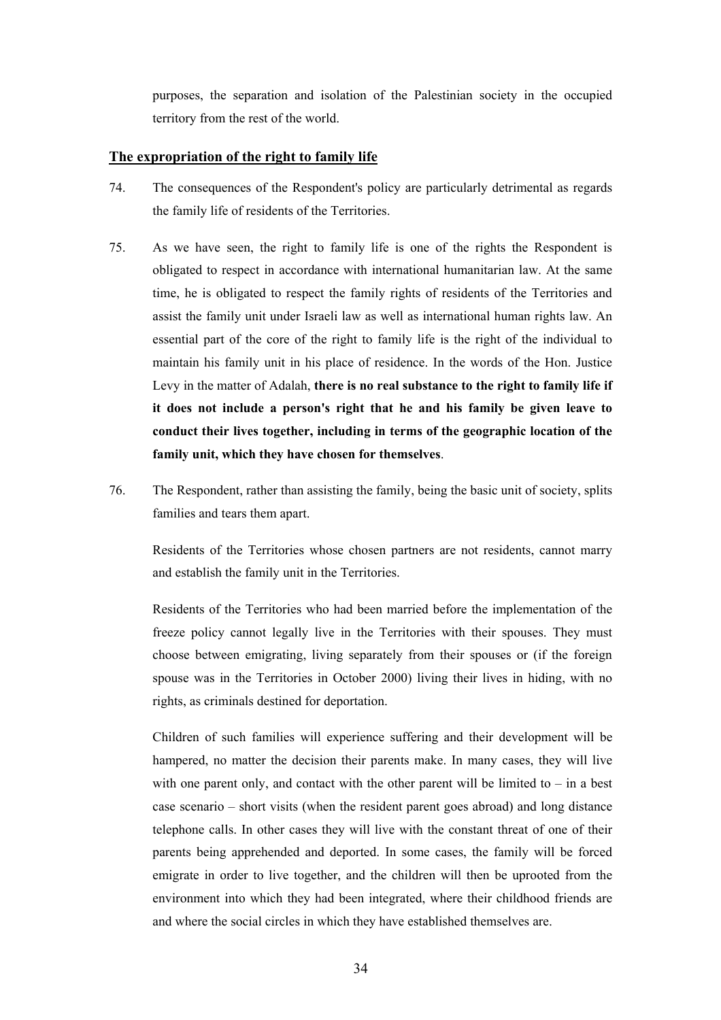purposes, the separation and isolation of the Palestinian society in the occupied territory from the rest of the world.

# **The expropriation of the right to family life**

- 74. The consequences of the Respondent's policy are particularly detrimental as regards the family life of residents of the Territories.
- 75. As we have seen, the right to family life is one of the rights the Respondent is obligated to respect in accordance with international humanitarian law. At the same time, he is obligated to respect the family rights of residents of the Territories and assist the family unit under Israeli law as well as international human rights law. An essential part of the core of the right to family life is the right of the individual to maintain his family unit in his place of residence. In the words of the Hon. Justice Levy in the matter of Adalah, **there is no real substance to the right to family life if it does not include a person's right that he and his family be given leave to conduct their lives together, including in terms of the geographic location of the family unit, which they have chosen for themselves**.
- 76. The Respondent, rather than assisting the family, being the basic unit of society, splits families and tears them apart.

 Residents of the Territories whose chosen partners are not residents, cannot marry and establish the family unit in the Territories.

 Residents of the Territories who had been married before the implementation of the freeze policy cannot legally live in the Territories with their spouses. They must choose between emigrating, living separately from their spouses or (if the foreign spouse was in the Territories in October 2000) living their lives in hiding, with no rights, as criminals destined for deportation.

 Children of such families will experience suffering and their development will be hampered, no matter the decision their parents make. In many cases, they will live with one parent only, and contact with the other parent will be limited to  $-$  in a best case scenario – short visits (when the resident parent goes abroad) and long distance telephone calls. In other cases they will live with the constant threat of one of their parents being apprehended and deported. In some cases, the family will be forced emigrate in order to live together, and the children will then be uprooted from the environment into which they had been integrated, where their childhood friends are and where the social circles in which they have established themselves are.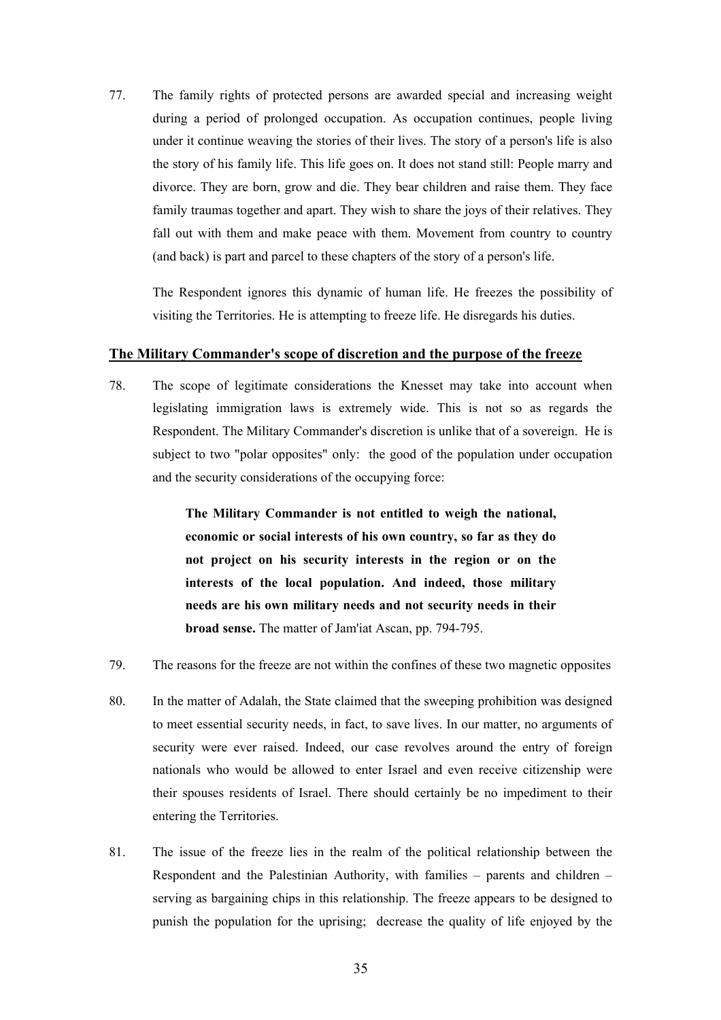77. The family rights of protected persons are awarded special and increasing weight during a period of prolonged occupation. As occupation continues, people living under it continue weaving the stories of their lives. The story of a person's life is also the story of his family life. This life goes on. It does not stand still: People marry and divorce. They are born, grow and die. They bear children and raise them. They face family traumas together and apart. They wish to share the joys of their relatives. They fall out with them and make peace with them. Movement from country to country (and back) is part and parcel to these chapters of the story of a person's life.

 The Respondent ignores this dynamic of human life. He freezes the possibility of visiting the Territories. He is attempting to freeze life. He disregards his duties.

# **The Military Commander's scope of discretion and the purpose of the freeze**

78. The scope of legitimate considerations the Knesset may take into account when legislating immigration laws is extremely wide. This is not so as regards the Respondent. The Military Commander's discretion is unlike that of a sovereign. He is subject to two "polar opposites" only: the good of the population under occupation and the security considerations of the occupying force:

> **The Military Commander is not entitled to weigh the national, economic or social interests of his own country, so far as they do not project on his security interests in the region or on the interests of the local population. And indeed, those military needs are his own military needs and not security needs in their broad sense.** The matter of Jam'iat Ascan, pp. 794-795.

- 79. The reasons for the freeze are not within the confines of these two magnetic opposites
- 80. In the matter of Adalah, the State claimed that the sweeping prohibition was designed to meet essential security needs, in fact, to save lives. In our matter, no arguments of security were ever raised. Indeed, our case revolves around the entry of foreign nationals who would be allowed to enter Israel and even receive citizenship were their spouses residents of Israel. There should certainly be no impediment to their entering the Territories.
- 81. The issue of the freeze lies in the realm of the political relationship between the Respondent and the Palestinian Authority, with families – parents and children – serving as bargaining chips in this relationship. The freeze appears to be designed to punish the population for the uprising; decrease the quality of life enjoyed by the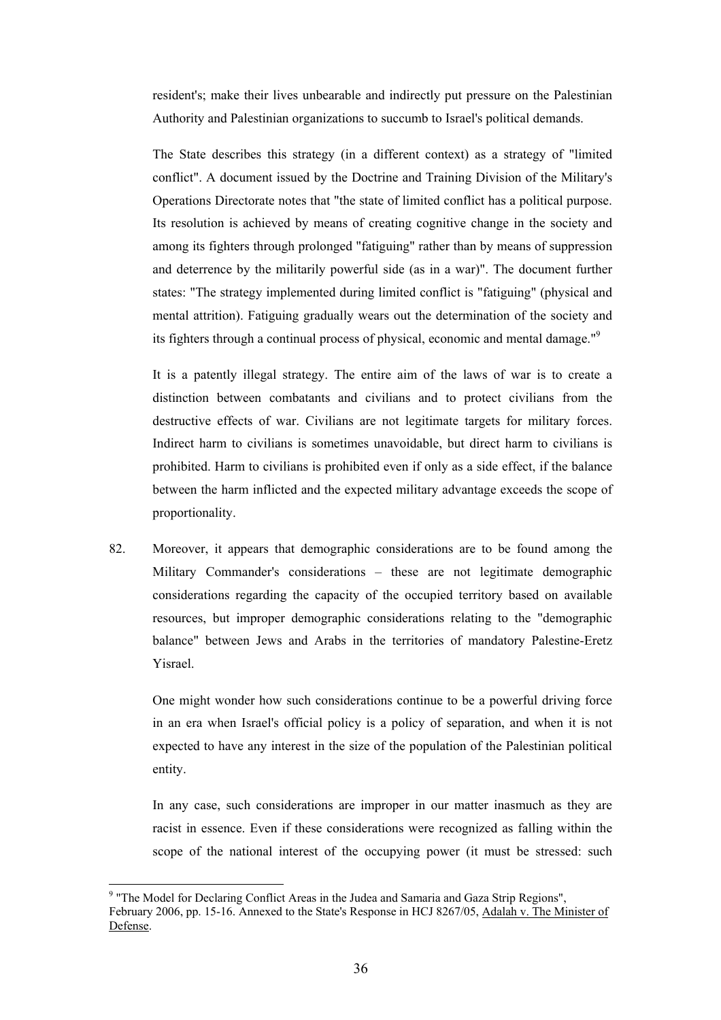resident's; make their lives unbearable and indirectly put pressure on the Palestinian Authority and Palestinian organizations to succumb to Israel's political demands.

 The State describes this strategy (in a different context) as a strategy of "limited conflict". A document issued by the Doctrine and Training Division of the Military's Operations Directorate notes that "the state of limited conflict has a political purpose. Its resolution is achieved by means of creating cognitive change in the society and among its fighters through prolonged "fatiguing" rather than by means of suppression and deterrence by the militarily powerful side (as in a war)". The document further states: "The strategy implemented during limited conflict is "fatiguing" (physical and mental attrition). Fatiguing gradually wears out the determination of the society and its fighters through a continual process of physical, economic and mental damage."9

 It is a patently illegal strategy. The entire aim of the laws of war is to create a distinction between combatants and civilians and to protect civilians from the destructive effects of war. Civilians are not legitimate targets for military forces. Indirect harm to civilians is sometimes unavoidable, but direct harm to civilians is prohibited. Harm to civilians is prohibited even if only as a side effect, if the balance between the harm inflicted and the expected military advantage exceeds the scope of proportionality.

82. Moreover, it appears that demographic considerations are to be found among the Military Commander's considerations – these are not legitimate demographic considerations regarding the capacity of the occupied territory based on available resources, but improper demographic considerations relating to the "demographic balance" between Jews and Arabs in the territories of mandatory Palestine-Eretz Yisrael.

One might wonder how such considerations continue to be a powerful driving force in an era when Israel's official policy is a policy of separation, and when it is not expected to have any interest in the size of the population of the Palestinian political entity.

 In any case, such considerations are improper in our matter inasmuch as they are racist in essence. Even if these considerations were recognized as falling within the scope of the national interest of the occupying power (it must be stressed: such

 $\overline{a}$ 

<sup>&</sup>lt;sup>9</sup> "The Model for Declaring Conflict Areas in the Judea and Samaria and Gaza Strip Regions", February 2006, pp. 15-16. Annexed to the State's Response in HCJ 8267/05, Adalah v. The Minister of Defense.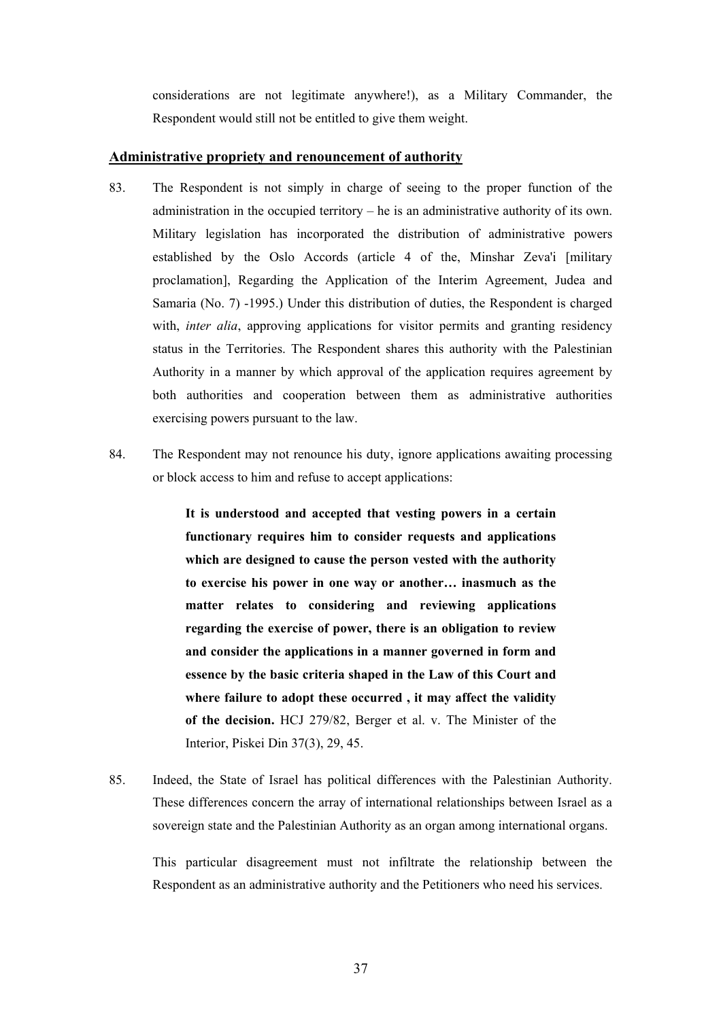considerations are not legitimate anywhere!), as a Military Commander, the Respondent would still not be entitled to give them weight.

### **Administrative propriety and renouncement of authority**

- 83. The Respondent is not simply in charge of seeing to the proper function of the administration in the occupied territory – he is an administrative authority of its own. Military legislation has incorporated the distribution of administrative powers established by the Oslo Accords (article 4 of the, Minshar Zeva'i [military proclamation], Regarding the Application of the Interim Agreement, Judea and Samaria (No. 7) -1995.) Under this distribution of duties, the Respondent is charged with, *inter alia*, approving applications for visitor permits and granting residency status in the Territories. The Respondent shares this authority with the Palestinian Authority in a manner by which approval of the application requires agreement by both authorities and cooperation between them as administrative authorities exercising powers pursuant to the law.
- 84. The Respondent may not renounce his duty, ignore applications awaiting processing or block access to him and refuse to accept applications:

 **It is understood and accepted that vesting powers in a certain functionary requires him to consider requests and applications which are designed to cause the person vested with the authority to exercise his power in one way or another… inasmuch as the matter relates to considering and reviewing applications regarding the exercise of power, there is an obligation to review and consider the applications in a manner governed in form and essence by the basic criteria shaped in the Law of this Court and where failure to adopt these occurred , it may affect the validity of the decision.** HCJ 279/82, Berger et al. v. The Minister of the Interior, Piskei Din 37(3), 29, 45.

85. Indeed, the State of Israel has political differences with the Palestinian Authority. These differences concern the array of international relationships between Israel as a sovereign state and the Palestinian Authority as an organ among international organs.

 This particular disagreement must not infiltrate the relationship between the Respondent as an administrative authority and the Petitioners who need his services.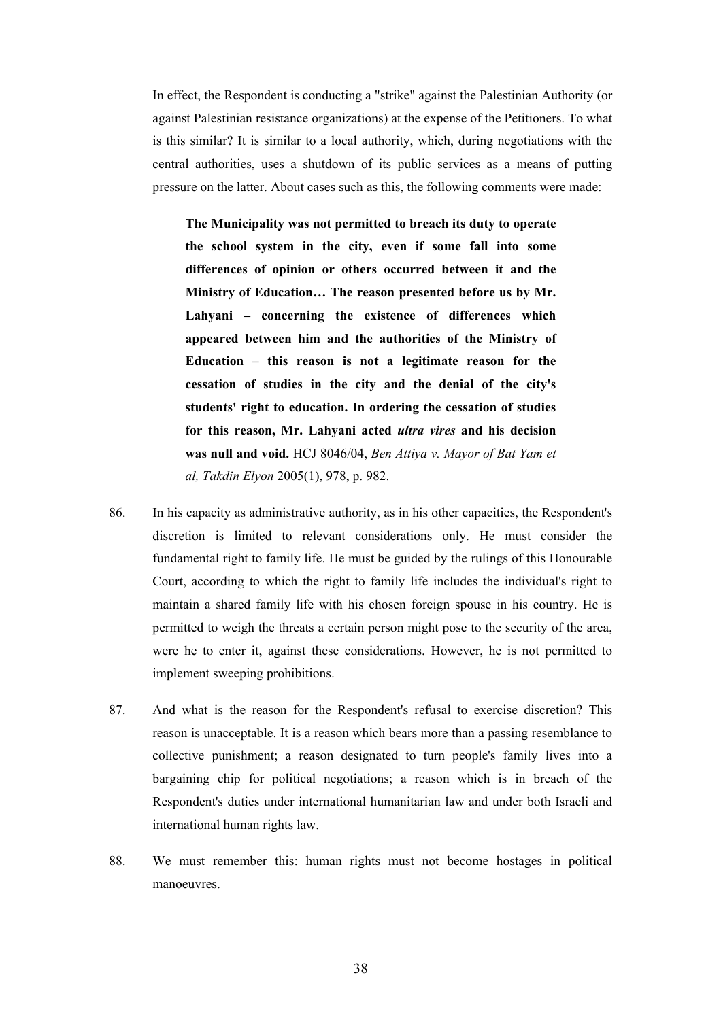In effect, the Respondent is conducting a "strike" against the Palestinian Authority (or against Palestinian resistance organizations) at the expense of the Petitioners. To what is this similar? It is similar to a local authority, which, during negotiations with the central authorities, uses a shutdown of its public services as a means of putting pressure on the latter. About cases such as this, the following comments were made:

 **The Municipality was not permitted to breach its duty to operate the school system in the city, even if some fall into some differences of opinion or others occurred between it and the Ministry of Education… The reason presented before us by Mr. Lahyani – concerning the existence of differences which appeared between him and the authorities of the Ministry of Education – this reason is not a legitimate reason for the cessation of studies in the city and the denial of the city's students' right to education. In ordering the cessation of studies for this reason, Mr. Lahyani acted** *ultra vires* **and his decision was null and void.** HCJ 8046/04, *Ben Attiya v. Mayor of Bat Yam et al, Takdin Elyon* 2005(1), 978, p. 982.

- 86. In his capacity as administrative authority, as in his other capacities, the Respondent's discretion is limited to relevant considerations only. He must consider the fundamental right to family life. He must be guided by the rulings of this Honourable Court, according to which the right to family life includes the individual's right to maintain a shared family life with his chosen foreign spouse in his country. He is permitted to weigh the threats a certain person might pose to the security of the area, were he to enter it, against these considerations. However, he is not permitted to implement sweeping prohibitions.
- 87. And what is the reason for the Respondent's refusal to exercise discretion? This reason is unacceptable. It is a reason which bears more than a passing resemblance to collective punishment; a reason designated to turn people's family lives into a bargaining chip for political negotiations; a reason which is in breach of the Respondent's duties under international humanitarian law and under both Israeli and international human rights law.
- 88. We must remember this: human rights must not become hostages in political manoeuvres.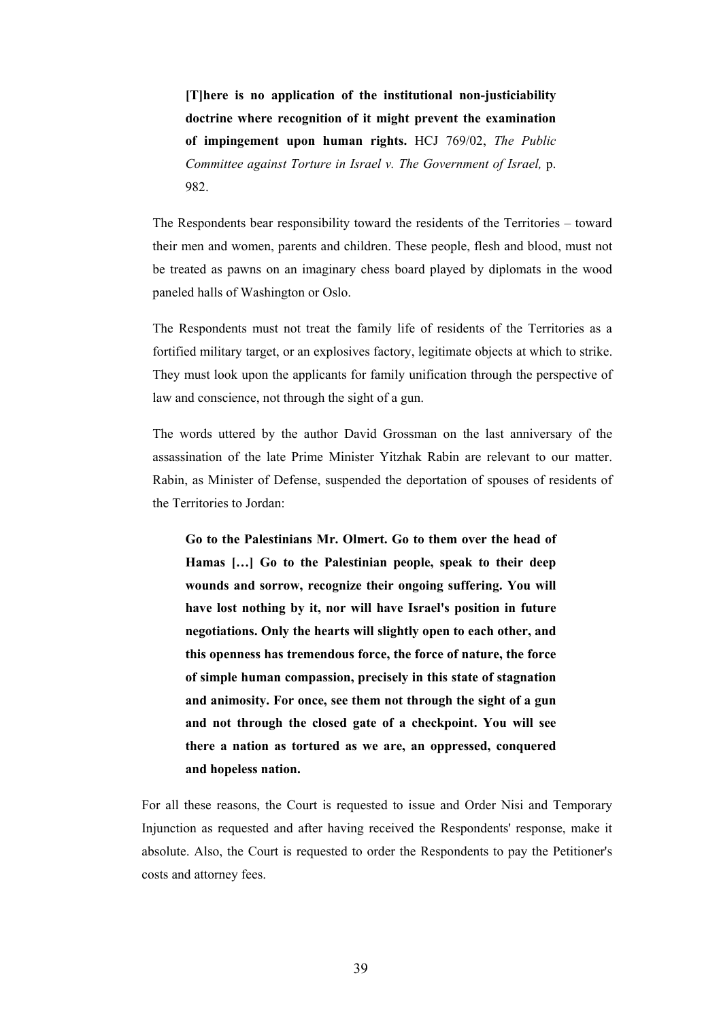**[T]here is no application of the institutional non-justiciability doctrine where recognition of it might prevent the examination of impingement upon human rights.** HCJ 769/02, *The Public Committee against Torture in Israel v. The Government of Israel,* p. 982.

 The Respondents bear responsibility toward the residents of the Territories – toward their men and women, parents and children. These people, flesh and blood, must not be treated as pawns on an imaginary chess board played by diplomats in the wood paneled halls of Washington or Oslo.

 The Respondents must not treat the family life of residents of the Territories as a fortified military target, or an explosives factory, legitimate objects at which to strike. They must look upon the applicants for family unification through the perspective of law and conscience, not through the sight of a gun.

 The words uttered by the author David Grossman on the last anniversary of the assassination of the late Prime Minister Yitzhak Rabin are relevant to our matter. Rabin, as Minister of Defense, suspended the deportation of spouses of residents of the Territories to Jordan:

 **Go to the Palestinians Mr. Olmert. Go to them over the head of Hamas […] Go to the Palestinian people, speak to their deep wounds and sorrow, recognize their ongoing suffering. You will have lost nothing by it, nor will have Israel's position in future negotiations. Only the hearts will slightly open to each other, and this openness has tremendous force, the force of nature, the force of simple human compassion, precisely in this state of stagnation and animosity. For once, see them not through the sight of a gun and not through the closed gate of a checkpoint. You will see there a nation as tortured as we are, an oppressed, conquered and hopeless nation.** 

 For all these reasons, the Court is requested to issue and Order Nisi and Temporary Injunction as requested and after having received the Respondents' response, make it absolute. Also, the Court is requested to order the Respondents to pay the Petitioner's costs and attorney fees.